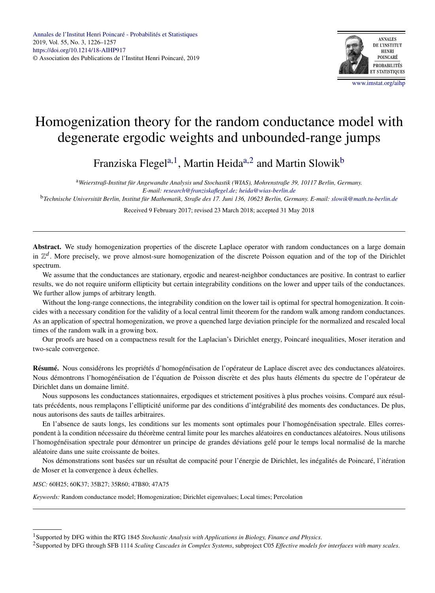

# Homogenization theory for the random conductance model with degenerate ergodic weights and unbounded-range jumps

Franziska Flegel<sup>a, 1</sup>, Martin Heida<sup>a, 2</sup> and Martin Slowik<sup>b</sup>

<sup>a</sup>*Weierstraß-Institut für Angewandte Analysis und Stochastik (WIAS), Mohrenstraße 39, 10117 Berlin, Germany. E-mail: [research@franziskaflegel.de;](mailto:research@franziskaflegel.de) [heida@wias-berlin.de](mailto:heida@wias-berlin.de)*

<sup>b</sup>*Technische Universität Berlin, Institut für Mathematik, Straße des 17. Juni 136, 10623 Berlin, Germany. E-mail: [slowik@math.tu-berlin.de](mailto:slowik@math.tu-berlin.de)*

Received 9 February 2017; revised 23 March 2018; accepted 31 May 2018

**Abstract.** We study homogenization properties of the discrete Laplace operator with random conductances on a large domain in  $\mathbb{Z}^d$ . More precisely, we prove almost-sure homogenization of the discrete Poisson equation and of the top of the Dirichlet spectrum.

We assume that the conductances are stationary, ergodic and nearest-neighbor conductances are positive. In contrast to earlier results, we do not require uniform ellipticity but certain integrability conditions on the lower and upper tails of the conductances. We further allow jumps of arbitrary length.

Without the long-range connections, the integrability condition on the lower tail is optimal for spectral homogenization. It coincides with a necessary condition for the validity of a local central limit theorem for the random walk among random conductances. As an application of spectral homogenization, we prove a quenched large deviation principle for the normalized and rescaled local times of the random walk in a growing box.

Our proofs are based on a compactness result for the Laplacian's Dirichlet energy, Poincaré inequalities, Moser iteration and two-scale convergence.

**Résumé.** Nous considérons les propriétés d'homogénéisation de l'opérateur de Laplace discret avec des conductances aléatoires. Nous démontrons l'homogénéisation de l'équation de Poisson discrète et des plus hauts éléments du spectre de l'opérateur de Dirichlet dans un domaine limité.

Nous supposons les conductances stationnaires, ergodiques et strictement positives à plus proches voisins. Comparé aux résultats précédents, nous remplaçons l'ellipticité uniforme par des conditions d'intégrabilité des moments des conductances. De plus, nous autorisons des sauts de tailles arbitraires.

En l'absence de sauts longs, les conditions sur les moments sont optimales pour l'homogénéisation spectrale. Elles correspondent à la condition nécessaire du théorème central limite pour les marches aléatoires en conductances aléatoires. Nous utilisons l'homogénéisation spectrale pour démontrer un principe de grandes déviations gelé pour le temps local normalisé de la marche aléatoire dans une suite croissante de boites.

Nos démonstrations sont basées sur un résultat de compacité pour l'énergie de Dirichlet, les inégalités de Poincaré, l'itération de Moser et la convergence à deux échelles.

*MSC:* 60H25; 60K37; 35B27; 35R60; 47B80; 47A75

*Keywords:* Random conductance model; Homogenization; Dirichlet eigenvalues; Local times; Percolation

<sup>1</sup>Supported by DFG within the RTG 1845 *Stochastic Analysis with Applications in Biology, Finance and Physics*.

<sup>2</sup>Supported by DFG through SFB 1114 *Scaling Cascades in Complex Systems*, subproject C05 *Effective models for interfaces with many scales*.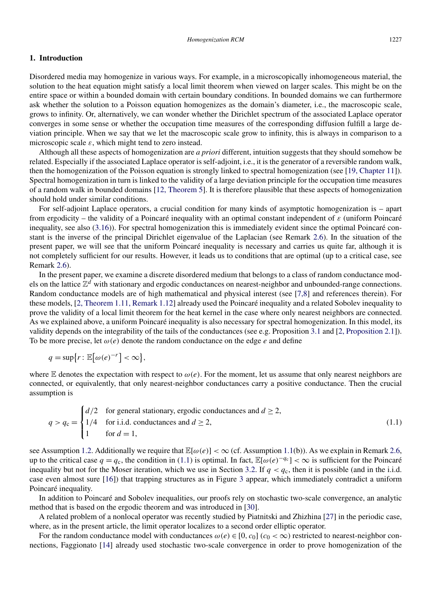# <span id="page-1-0"></span>**1. Introduction**

Disordered media may homogenize in various ways. For example, in a microscopically inhomogeneous material, the solution to the heat equation might satisfy a local limit theorem when viewed on larger scales. This might be on the entire space or within a bounded domain with certain boundary conditions. In bounded domains we can furthermore ask whether the solution to a Poisson equation homogenizes as the domain's diameter, i.e., the macroscopic scale, grows to infinity. Or, alternatively, we can wonder whether the Dirichlet spectrum of the associated Laplace operator converges in some sense or whether the occupation time measures of the corresponding diffusion fulfill a large deviation principle. When we say that we let the macroscopic scale grow to infinity, this is always in comparison to a microscopic scale  $\varepsilon$ , which might tend to zero instead.

Although all these aspects of homogenization are *a priori* different, intuition suggests that they should somehow be related. Especially if the associated Laplace operator is self-adjoint, i.e., it is the generator of a reversible random walk, then the homogenization of the Poisson equation is strongly linked to spectral homogenization (see [\[19, Chapter 11\]](#page-30-0)). Spectral homogenization in turn is linked to the validity of a large deviation principle for the occupation time measures of a random walk in bounded domains [\[12, Theorem 5\]](#page-30-0). It is therefore plausible that these aspects of homogenization should hold under similar conditions.

For self-adjoint Laplace operators, a crucial condition for many kinds of asymptotic homogenization is – apart from ergodicity – the validity of a Poincaré inequality with an optimal constant independent of *ε* (uniform Poincaré inequality, see also [\(3.16\)](#page-11-0)). For spectral homogenization this is immediately evident since the optimal Poincaré constant is the inverse of the principal Dirichlet eigenvalue of the Laplacian (see Remark [2.6\)](#page-7-0). In the situation of the present paper, we will see that the uniform Poincaré inequality is necessary and carries us quite far, although it is not completely sufficient for our results. However, it leads us to conditions that are optimal (up to a critical case, see Remark [2.6\)](#page-7-0).

In the present paper, we examine a discrete disordered medium that belongs to a class of random conductance models on the lattice Z*<sup>d</sup>* with stationary and ergodic conductances on nearest-neighbor and unbounded-range connections. Random conductance models are of high mathematical and physical interest (see [\[7,8\]](#page-30-0) and references therein). For these models, [\[2, Theorem 1.11, Remark 1.12\]](#page-30-0) already used the Poincaré inequality and a related Sobolev inequality to prove the validity of a local limit theorem for the heat kernel in the case where only nearest neighbors are connected. As we explained above, a uniform Poincaré inequality is also necessary for spectral homogenization. In this model, its validity depends on the integrability of the tails of the conductances (see e.g. Proposition [3.1](#page-10-0) and [\[2, Proposition 2.1\]](#page-30-0)). To be more precise, let *ω(e)* denote the random conductance on the edge *e* and define

$$
q = \sup\{r : \mathbb{E}[\omega(e)^{-r}] < \infty\},\
$$

where E denotes the expectation with respect to  $\omega(e)$ . For the moment, let us assume that only nearest neighbors are connected, or equivalently, that only nearest-neighbor conductances carry a positive conductance. Then the crucial assumption is

$$
q > q_{\rm c} = \begin{cases} d/2 & \text{for general stationary, ergodic conductances and } d \ge 2, \\ 1/4 & \text{for i.i.d. conductances and } d \ge 2, \\ 1 & \text{for } d = 1, \end{cases} \tag{1.1}
$$

see Assumption [1.2.](#page-3-0) Additionally we require that  $\mathbb{E}[\omega(e)] < \infty$  (cf. Assumption [1.1\(](#page-3-0)b)). As we explain in Remark [2.6,](#page-7-0) up to the critical case  $q = q_c$ , the condition in (1.1) is optimal. In fact,  $\mathbb{E}[\omega(e)^{-q_c}] < \infty$  is sufficient for the Poincaré inequality but not for the Moser iteration, which we use in Section [3.2.](#page-12-0) If  $q < q_c$ , then it is possible (and in the i.i.d. case even almost sure [\[16\]](#page-30-0)) that trapping structures as in Figure [3](#page-7-0) appear, which immediately contradict a uniform Poincaré inequality.

In addition to Poincaré and Sobolev inequalities, our proofs rely on stochastic two-scale convergence, an analytic method that is based on the ergodic theorem and was introduced in [\[30\]](#page-31-0).

A related problem of a nonlocal operator was recently studied by Piatnitski and Zhizhina [\[27\]](#page-30-0) in the periodic case, where, as in the present article, the limit operator localizes to a second order elliptic operator.

For the random conductance model with conductances  $\omega(e) \in [0, c_0]$  ( $c_0 < \infty$ ) restricted to nearest-neighbor connections, Faggionato [\[14\]](#page-30-0) already used stochastic two-scale convergence in order to prove homogenization of the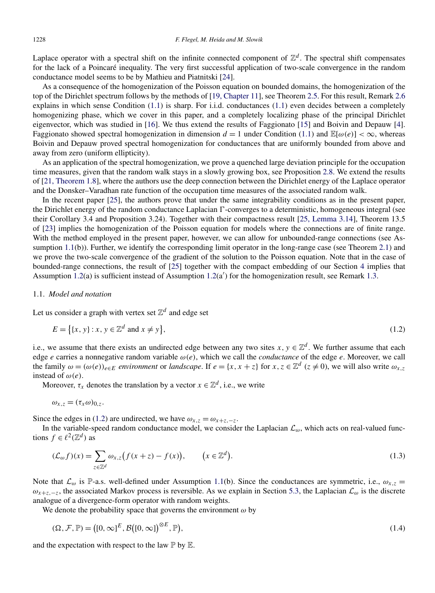<span id="page-2-0"></span>Laplace operator with a spectral shift on the infinite connected component of  $\mathbb{Z}^d$ . The spectral shift compensates for the lack of a Poincaré inequality. The very first successful application of two-scale convergence in the random conductance model seems to be by Mathieu and Piatnitski [\[24\]](#page-30-0).

As a consequence of the homogenization of the Poisson equation on bounded domains, the homogenization of the top of the Dirichlet spectrum follows by the methods of [\[19, Chapter 11\]](#page-30-0), see Theorem [2.5.](#page-6-0) For this result, Remark [2.6](#page-7-0) explains in which sense Condition [\(1.1\)](#page-1-0) is sharp. For i.i.d. conductances [\(1.1\)](#page-1-0) even decides between a completely homogenizing phase, which we cover in this paper, and a completely localizing phase of the principal Dirichlet eigenvector, which was studied in [\[16\]](#page-30-0). We thus extend the results of Faggionato [\[15\]](#page-30-0) and Boivin and Depauw [\[4\]](#page-30-0). Faggionato showed spectral homogenization in dimension  $d = 1$  under Condition [\(1.1\)](#page-1-0) and  $\mathbb{E}[\omega(e)] < \infty$ , whereas Boivin and Depauw proved spectral homogenization for conductances that are uniformly bounded from above and away from zero (uniform ellipticity).

As an application of the spectral homogenization, we prove a quenched large deviation principle for the occupation time measures, given that the random walk stays in a slowly growing box, see Proposition [2.8.](#page-9-0) We extend the results of [\[21, Theorem 1.8\]](#page-30-0), where the authors use the deep connection between the Dirichlet energy of the Laplace operator and the Donsker–Varadhan rate function of the occupation time measures of the associated random walk.

In the recent paper [\[25\]](#page-30-0), the authors prove that under the same integrability conditions as in the present paper, the Dirichlet energy of the random conductance Laplacian  $\Gamma$ -converges to a deterministic, homogeneous integral (see their Corollary 3.4 and Proposition 3.24). Together with their compactness result [\[25, Lemma 3.14\]](#page-30-0), Theorem 13.5 of [\[23\]](#page-30-0) implies the homogenization of the Poisson equation for models where the connections are of finite range. With the method employed in the present paper, however, we can allow for unbounded-range connections (see As-sumption [1.1\(](#page-3-0)b)). Further, we identify the corresponding limit operator in the long-range case (see Theorem [2.1\)](#page-5-0) and we prove the two-scale convergence of the gradient of the solution to the Poisson equation. Note that in the case of bounded-range connections, the result of [\[25\]](#page-30-0) together with the compact embedding of our Section [4](#page-12-0) implies that Assumption [1.2\(](#page-3-0)a) is sufficient instead of Assumption 1.2(a') for the homogenization result, see Remark [1.3.](#page-3-0)

### 1.1. *Model and notation*

Let us consider a graph with vertex set  $\mathbb{Z}^d$  and edge set

$$
E = \{(x, y) : x, y \in \mathbb{Z}^d \text{ and } x \neq y\},\tag{1.2}
$$

i.e., we assume that there exists an undirected edge between any two sites  $x, y \in \mathbb{Z}^d$ . We further assume that each edge *e* carries a nonnegative random variable *ω(e)*, which we call the *conductance* of the edge *e*. Moreover, we call the family  $\omega = (\omega(e))_{e \in E}$  *environment* or *landscape*. If  $e = \{x, x + z\}$  for  $x, z \in \mathbb{Z}^d$  ( $z \neq 0$ ), we will also write  $\omega_{x,z}$ instead of  $\omega(e)$ .

Moreover,  $\tau_x$  denotes the translation by a vector  $x \in \mathbb{Z}^d$ , i.e., we write

$$
\omega_{x,z}=(\tau_x\omega)_{0,z}.
$$

Since the edges in (1.2) are undirected, we have  $\omega_{x,z} = \omega_{x+z,-z}$ .

In the variable-speed random conductance model, we consider the Laplacian  $\mathcal{L}_{\omega}$ , which acts on real-valued functions  $f \in \ell^2(\mathbb{Z}^d)$  as

$$
(\mathcal{L}_{\omega}f)(x) = \sum_{z \in \mathbb{Z}^d} \omega_{x,z} \big( f(x+z) - f(x) \big), \qquad \big( x \in \mathbb{Z}^d \big). \tag{1.3}
$$

Note that  $\mathcal{L}_{\omega}$  is P-a.s. well-defined under Assumption [1.1\(](#page-3-0)b). Since the conductances are symmetric, i.e.,  $\omega_{x,z}$  =  $\omega_{x+z,-z}$ , the associated Markov process is reversible. As we explain in Section [5.3,](#page-18-0) the Laplacian  $\mathcal{L}_{\omega}$  is the discrete analogue of a divergence-form operator with random weights.

We denote the probability space that governs the environment  $\omega$  by

$$
(\Omega, \mathcal{F}, \mathbb{P}) = ([0, \infty)^E, \mathcal{B}([0, \infty])^{\otimes E}, \mathbb{P}),
$$
\n(1.4)

and the expectation with respect to the law  $\mathbb P$  by  $\mathbb E$ .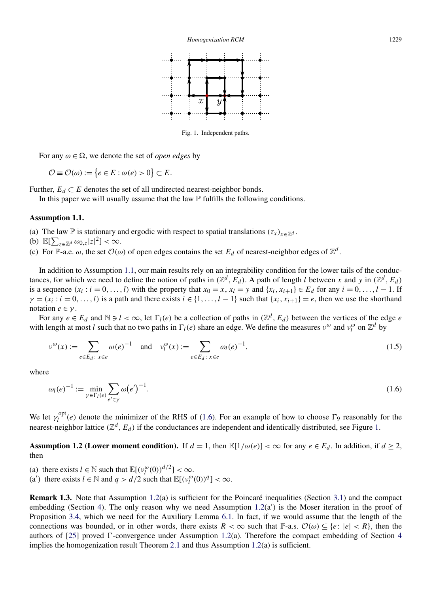

Fig. 1. Independent paths.

<span id="page-3-0"></span>For any  $\omega \in \Omega$ , we denote the set of *open edges* by

 $\mathcal{O} \equiv \mathcal{O}(\omega) := \{e \in E : \omega(e) > 0\} \subset E.$ 

Further,  $E_d \subset E$  denotes the set of all undirected nearest-neighbor bonds.

In this paper we will usually assume that the law  $\mathbb P$  fulfills the following conditions.

#### **Assumption 1.1.**

(a) The law P is stationary and ergodic with respect to spatial translations  $(\tau_x)_{x \in \mathbb{Z}^d}$ .

- (b)  $\mathbb{E}[\sum_{z \in \mathbb{Z}^d} \omega_{0,z} |z|^2] < \infty$ .
- (c) For P-a.e.  $\omega$ , the set  $\mathcal{O}(\omega)$  of open edges contains the set  $E_d$  of nearest-neighbor edges of  $\mathbb{Z}^d$ .

In addition to Assumption 1.1, our main results rely on an integrability condition for the lower tails of the conductances, for which we need to define the notion of paths in  $(\mathbb{Z}^d, E_d)$ . A path of length *l* between *x* and *y* in  $(\mathbb{Z}^d, E_d)$ is a sequence  $(x_i : i = 0, \ldots, l)$  with the property that  $x_0 = x$ ,  $x_l = y$  and  $\{x_i, x_{i+1}\}\in E_d$  for any  $i = 0, \ldots, l - 1$ . If  $\gamma = (x_i : i = 0, \ldots, l)$  is a path and there exists  $i \in \{1, \ldots, l-1\}$  such that  $\{x_i, x_{i+1}\} = e$ , then we use the shorthand notation  $e \in \gamma$ .

For any  $e \in E_d$  and  $\mathbb{N} \ni l < \infty$ , let  $\Gamma_l(e)$  be a collection of paths in  $(\mathbb{Z}^d, E_d)$  between the vertices of the edge *e* with length at most *l* such that no two paths in  $\Gamma_l(e)$  share an edge. We define the measures  $v^{\omega}$  and  $v_l^{\omega}$  on  $\mathbb{Z}^d$  by

$$
\nu^{\omega}(x) := \sum_{e \in E_d \colon x \in e} \omega(e)^{-1} \quad \text{and} \quad \nu_l^{\omega}(x) := \sum_{e \in E_d \colon x \in e} \omega_l(e)^{-1},\tag{1.5}
$$

where

$$
\omega_l(e)^{-1} := \min_{\gamma \in \Gamma_l(e)} \sum_{e' \in \gamma} \omega(e')^{-1}.
$$
\n(1.6)

We let  $\gamma_l^{\text{opt}}(e)$  denote the minimizer of the RHS of (1.6). For an example of how to choose  $\Gamma_9$  reasonably for the nearest-neighbor lattice  $(\mathbb{Z}^d, E_d)$  if the conductances are independent and identically distributed, see Figure 1.

**Assumption 1.2 (Lower moment condition).** If  $d = 1$ , then  $\mathbb{E}[1/\omega(e)] < \infty$  for any  $e \in E_d$ . In addition, if  $d \ge 2$ , then

(a) there exists  $l \in \mathbb{N}$  such that  $\mathbb{E}[(v_l^{\omega}(0))^{d/2}] < \infty$ .

(a') there exists  $l \in \mathbb{N}$  and  $q > d/2$  such that  $\mathbb{E}[(v_l^{\omega}(0))^q] < \infty$ .

**Remark 1.3.** Note that Assumption 1.2(a) is sufficient for the Poincaré inequalities (Section [3.1\)](#page-9-0) and the compact embedding (Section [4\)](#page-12-0). The only reason why we need Assumption  $1.2(a')$  is the Moser iteration in the proof of Proposition [3.4,](#page-12-0) which we need for the Auxiliary Lemma [6.1.](#page-24-0) In fact, if we would assume that the length of the connections was bounded, or in other words, there exists  $R < \infty$  such that  $\mathbb{P}\text{-a.s. } \mathcal{O}(\omega) \subseteq \{e : |e| < R\}$ , then the authors of  $[25]$  proved  $\Gamma$ -convergence under Assumption 1.2(a). Therefore the compact embedding of Section [4](#page-12-0) implies the homogenization result Theorem [2.1](#page-5-0) and thus Assumption  $1.2(a)$  is sufficient.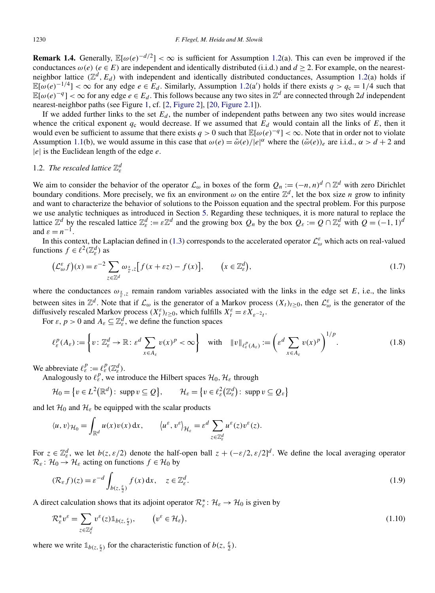<span id="page-4-0"></span>**Remark 1.4.** Generally,  $\mathbb{E}[\omega(e)^{-d/2}] < \infty$  is sufficient for Assumption [1.2\(](#page-3-0)a). This can even be improved if the conductances  $\omega(e)$  ( $e \in E$ ) are independent and identically distributed (i.i.d.) and  $d \ge 2$ . For example, on the nearestneighbor lattice  $(\mathbb{Z}^d, E_d)$  with independent and identically distributed conductances, Assumption [1.2\(](#page-3-0)a) holds if  $\mathbb{E}[\omega(e)^{-1/4}] < \infty$  for any edge  $e \in E_d$ . Similarly, Assumption [1.2\(](#page-3-0)a') holds if there exists  $q > q_c = 1/4$  such that  $\mathbb{E}[\omega(e)^{-q}] < \infty$  for any edge  $e \in E_d$ . This follows because any two sites in  $\mathbb{Z}^d$  are connected through 2*d* independent nearest-neighbor paths (see Figure [1,](#page-3-0) cf. [\[2, Figure 2\]](#page-30-0), [\[20, Figure 2.1\]](#page-30-0)).

If we added further links to the set  $E_d$ , the number of independent paths between any two sites would increase whence the critical exponent  $q_c$  would decrease. If we assumed that  $E_d$  would contain all the links of  $E$ , then it would even be sufficient to assume that there exists  $q > 0$  such that  $\mathbb{E}[\omega(e)^{-q}] < \infty$ . Note that in order not to violate Assumption [1.1\(](#page-3-0)b), we would assume in this case that  $\omega(e) = \tilde{\omega}(e)/|e|^\alpha$  where the  $(\tilde{\omega}(e))_e$  are i.i.d.,  $\alpha > d + 2$  and |*e*| is the Euclidean length of the edge *e*.

# 1.2. *The rescaled lattice* Z*<sup>d</sup> ε*

We aim to consider the behavior of the operator  $\mathcal{L}_{\omega}$  in boxes of the form  $Q_n := (-n, n)^d \cap \mathbb{Z}^d$  with zero Dirichlet boundary conditions. More precisely, we fix an environment  $\omega$  on the entire  $\mathbb{Z}^d$ , let the box size *n* grow to infinity and want to characterize the behavior of solutions to the Poisson equation and the spectral problem. For this purpose we use analytic techniques as introduced in Section [5.](#page-14-0) Regarding these techniques, it is more natural to replace the lattice  $\mathbb{Z}^d$  by the rescaled lattice  $\mathbb{Z}^d_{\varepsilon} := \varepsilon \mathbb{Z}^d$  and the growing box  $Q_n$  by the box  $Q_{\varepsilon} := Q \cap \mathbb{Z}^d_{\varepsilon}$  with  $Q = (-1, 1)^d$ and  $\varepsilon = n^{-1}$ .

In this context, the Laplacian defined in [\(1.3\)](#page-2-0) corresponds to the accelerated operator  $\mathcal{L}^{\varepsilon}_{\omega}$  which acts on real-valued functions  $f \in \ell^2(\mathbb{Z}_\varepsilon^d)$  as

$$
\left(\mathcal{L}_{\omega}^{\varepsilon}f\right)(x) = \varepsilon^{-2} \sum_{z \in \mathbb{Z}^d} \omega_{\frac{x}{\varepsilon},z} \left[ f(x + \varepsilon z) - f(x) \right], \qquad \left(x \in \mathbb{Z}_{\varepsilon}^d\right),\tag{1.7}
$$

where the conductances  $\omega_{\frac{x}{g},z}$  remain random variables associated with the links in the edge set *E*, i.e., the links between sites in  $\mathbb{Z}^d$ . Note that if  $\mathcal{L}_\omega$  is the generator of a Markov process  $(X_t)_{t\geq0}$ , then  $\mathcal{L}_\omega^{\varepsilon}$  is the generator of the diffusively rescaled Markov process  $(X_t^{\varepsilon})_{t \geq 0}$ , which fulfills  $X_t^{\varepsilon} = \varepsilon X_{\varepsilon^{-2}t}$ .

For  $\varepsilon$ ,  $p > 0$  and  $A_{\varepsilon} \subseteq \mathbb{Z}_{\varepsilon}^d$ , we define the function spaces

$$
\ell_{\varepsilon}^{p}(A_{\varepsilon}) := \left\{ v : \mathbb{Z}_{\varepsilon}^{d} \to \mathbb{R} : \varepsilon^{d} \sum_{x \in A_{\varepsilon}} v(x)^{p} < \infty \right\} \quad \text{with} \quad \|v\|_{\ell_{\varepsilon}^{p}(A_{\varepsilon})} := \left(\varepsilon^{d} \sum_{x \in A_{\varepsilon}} v(x)^{p}\right)^{1/p}.\tag{1.8}
$$

We abbreviate  $\ell_{\varepsilon}^p := \ell_{\varepsilon}^p(\mathbb{Z}_{\varepsilon}^d)$ .

Analogously to  $\ell_{\varepsilon}^p$ , we introduce the Hilbert spaces  $\mathcal{H}_0$ ,  $\mathcal{H}_{\varepsilon}$  through

$$
\mathcal{H}_0 = \left\{ v \in L^2(\mathbb{R}^d) : \text{ supp } v \subseteq Q \right\}, \qquad \mathcal{H}_{\varepsilon} = \left\{ v \in \ell_{\varepsilon}^2(\mathbb{Z}_{\varepsilon}^d) : \text{ supp } v \subseteq Q_{\varepsilon} \right\}
$$

and let  $\mathcal{H}_0$  and  $\mathcal{H}_\varepsilon$  be equipped with the scalar products

$$
\langle u, v \rangle_{\mathcal{H}_0} = \int_{\mathbb{R}^d} u(x) v(x) \, \mathrm{d}x, \qquad \langle u^\varepsilon, v^\varepsilon \rangle_{\mathcal{H}_\varepsilon} = \varepsilon^d \sum_{z \in \mathbb{Z}^d_\varepsilon} u^\varepsilon(z) v^\varepsilon(z).
$$

For  $z \in \mathbb{Z}_{\varepsilon}^d$ , we let  $b(z, \varepsilon/2)$  denote the half-open ball  $z + (-\varepsilon/2, \varepsilon/2]^d$ . We define the local averaging operator  $\mathcal{R}_{\varepsilon}$ :  $\mathcal{H}_0 \to \mathcal{H}_{\varepsilon}$  acting on functions  $f \in \mathcal{H}_0$  by

$$
(\mathcal{R}_{\varepsilon}f)(z) = \varepsilon^{-d} \int_{b(z,\frac{\varepsilon}{2})} f(x) dx, \quad z \in \mathbb{Z}_{\varepsilon}^d.
$$
 (1.9)

A direct calculation shows that its adjoint operator  $\mathcal{R}_{\varepsilon}^*$ :  $\mathcal{H}_{\varepsilon} \to \mathcal{H}_0$  is given by

$$
\mathcal{R}_{\varepsilon}^* v^{\varepsilon} = \sum_{z \in \mathbb{Z}_{\varepsilon}^d} v^{\varepsilon}(z) \mathbb{1}_{b(z, \frac{\varepsilon}{2})}, \qquad \left(v^{\varepsilon} \in \mathcal{H}_{\varepsilon}\right), \tag{1.10}
$$

where we write  $\mathbb{1}_{b(z,\frac{\varepsilon}{2})}$  for the characteristic function of  $b(z,\frac{\varepsilon}{2})$ .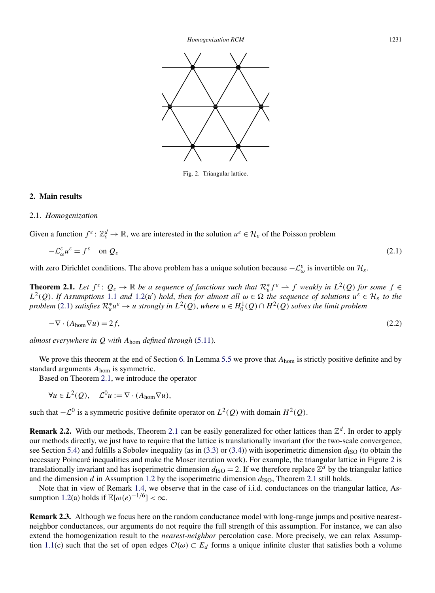<span id="page-5-0"></span>

Fig. 2. Triangular lattice.

#### **2. Main results**

#### 2.1. *Homogenization*

Given a function  $f^{\varepsilon}$ :  $\mathbb{Z}_{\varepsilon}^{d} \to \mathbb{R}$ , we are interested in the solution  $u^{\varepsilon} \in \mathcal{H}_{\varepsilon}$  of the Poisson problem

$$
-\mathcal{L}_{\omega}^{\varepsilon}u^{\varepsilon} = f^{\varepsilon} \quad \text{on } \mathcal{Q}_{\varepsilon} \tag{2.1}
$$

with zero Dirichlet conditions. The above problem has a unique solution because  $-\mathcal{L}_{\omega}^{\varepsilon}$  is invertible on  $\mathcal{H}_{\varepsilon}$ .

**Theorem 2.1.** Let  $f^{\varepsilon}$ :  $Q_{\varepsilon} \to \mathbb{R}$  be a sequence of functions such that  $\mathcal{R}_{\varepsilon}^* f^{\varepsilon} \to f$  weakly in  $L^2(Q)$  for some  $f \in \mathbb{R}$ *L*<sup>2</sup>(*Q*). *If Assumptions* [1.1](#page-3-0) *and* [1.2\(](#page-3-0)a') *hold*, *then for almost all*  $ω ∈ Ω$  *the sequence of solutions*  $u^ε ∈ H_ε$  *to the problem* (2.1) *satisfies*  $\mathcal{R}^*_\varepsilon u^\varepsilon \to u$  *strongly in*  $L^2(Q)$ , *where*  $u \in H_0^1(Q) \cap H^2(Q)$  *solves the limit problem* 

$$
-\nabla \cdot (A_{\text{hom}} \nabla u) = 2f,\tag{2.2}
$$

*almost everywhere in Q with A*hom *defined through* [\(5.11\)](#page-16-0).

We prove this theorem at the end of Section [6.](#page-24-0) In Lemma [5.5](#page-17-0) we prove that  $A_{\text{hom}}$  is strictly positive definite and by standard arguments *A*hom is symmetric.

Based on Theorem 2.1, we introduce the operator

 $\forall u \in L^2(Q), \quad \mathcal{L}^0 u := \nabla \cdot (A_{\text{hom}} \nabla u),$ 

such that  $-C^0$  is a symmetric positive definite operator on  $L^2(Q)$  with domain  $H^2(Q)$ .

**Remark 2.2.** With our methods, Theorem 2.1 can be easily generalized for other lattices than  $\mathbb{Z}^d$ . In order to apply our methods directly, we just have to require that the lattice is translationally invariant (for the two-scale convergence, see Section [5.4\)](#page-18-0) and fulfills a Sobolev inequality (as in  $(3.3)$  or  $(3.4)$ ) with isoperimetric dimension  $d_{\rm ISO}$  (to obtain the necessary Poincaré inequalities and make the Moser iteration work). For example, the triangular lattice in Figure 2 is translationally invariant and has isoperimetric dimension  $d_{\text{ISO}} = 2$ . If we therefore replace  $\mathbb{Z}^d$  by the triangular lattice and the dimension *d* in Assumption [1.2](#page-3-0) by the isoperimetric dimension  $d_{\text{ISO}}$ , Theorem 2.1 still holds.

Note that in view of Remark [1.4,](#page-4-0) we observe that in the case of i.i.d. conductances on the triangular lattice, As-sumption [1.2\(](#page-3-0)a) holds if  $\mathbb{E}[\omega(e)^{-1/6}] < \infty$ .

**Remark 2.3.** Although we focus here on the random conductance model with long-range jumps and positive nearestneighbor conductances, our arguments do not require the full strength of this assumption. For instance, we can also extend the homogenization result to the *nearest-neighbor* percolation case. More precisely, we can relax Assump-tion [1.1\(](#page-3-0)c) such that the set of open edges  $\mathcal{O}(\omega) \subset E_d$  forms a unique infinite cluster that satisfies both a volume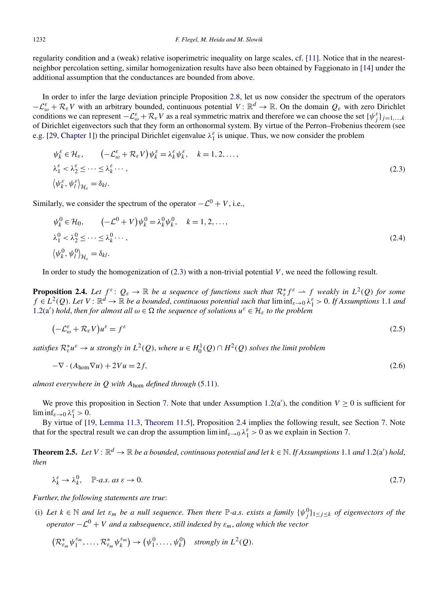<span id="page-6-0"></span>regularity condition and a (weak) relative isoperimetric inequality on large scales, cf. [\[11\]](#page-30-0). Notice that in the nearestneighbor percolation setting, similar homogenization results have also been obtained by Faggionato in [\[14\]](#page-30-0) under the additional assumption that the conductances are bounded from above.

In order to infer the large deviation principle Proposition [2.8,](#page-9-0) let us now consider the spectrum of the operators  $-\mathcal{L}_{\omega}^{\varepsilon} + \mathcal{R}_{\varepsilon}V$  with an arbitrary bounded, continuous potential  $V: \mathbb{R}^d \to \mathbb{R}$ . On the domain  $Q_{\varepsilon}$  with zero Dirichlet conditions we can represent  $-\mathcal{L}_{\omega}^{\varepsilon} + \mathcal{R}_{\varepsilon}V$  as a real symmetric matrix and therefore we can choose the set  $\{\psi_j^{\varepsilon}\}_{j=1,\dots,k}$ of Dirichlet eigenvectors such that they form an orthonormal system. By virtue of the Perron–Frobenius theorem (see e.g. [\[29, Chapter 1\]](#page-31-0)) the principal Dirichlet eigenvalue  $\lambda_1^{\varepsilon}$  is unique. Thus, we now consider the problem

$$
\psi_k^{\varepsilon} \in \mathcal{H}_{\varepsilon}, \qquad \left( -\mathcal{L}_{\omega}^{\varepsilon} + \mathcal{R}_{\varepsilon} V \right) \psi_k^{\varepsilon} = \lambda_k^{\varepsilon} \psi_k^{\varepsilon}, \quad k = 1, 2, \dots,
$$
\n
$$
\lambda_1^{\varepsilon} < \lambda_2^{\varepsilon} \leq \dots \leq \lambda_k^{\varepsilon} \dots,
$$
\n
$$
\left\langle \psi_k^{\varepsilon}, \psi_l^{\varepsilon} \right\rangle_{\mathcal{H}_{\varepsilon}} = \delta_{kl}.
$$
\n
$$
(2.3)
$$

Similarly, we consider the spectrum of the operator  $-\mathcal{L}^0 + V$ , i.e.,

$$
\psi_k^0 \in \mathcal{H}_0, \qquad (-\mathcal{L}^0 + V)\psi_k^0 = \lambda_k^0 \psi_k^0, \quad k = 1, 2, \dots,
$$
  
\n
$$
\lambda_1^0 < \lambda_2^0 \le \dots \le \lambda_k^0 \dots,
$$
  
\n
$$
\langle \psi_k^0, \psi_l^0 \rangle_{\mathcal{H}_\varepsilon} = \delta_{kl}.
$$
\n
$$
(2.4)
$$

In order to study the homogenization of  $(2.3)$  with a non-trivial potential V, we need the following result.

**Proposition 2.4.** Let  $f^{\varepsilon}$ :  $Q_{\varepsilon} \to \mathbb{R}$  be a sequence of functions such that  $\mathcal{R}_{\varepsilon}^* f^{\varepsilon} \to f$  weakly in  $L^2(Q)$  for some  $f \in L^2(Q)$ . *Let*  $V: \mathbb{R}^d \to \mathbb{R}$  *be a bounded, continuous potential such that*  $\liminf_{\varepsilon \to 0} \lambda_1^{\varepsilon} > 0$ . *If Assumptions* [1.1](#page-3-0) *and*  $1.2(a')$  $1.2(a')$  *hold*, *then for almost all*  $ω ∈ Ω$  *the sequence of solutions*  $u^ε ∈ H_ε$  *to the problem* 

$$
(-\mathcal{L}_{\omega}^{\varepsilon} + \mathcal{R}_{\varepsilon} V)u^{\varepsilon} = f^{\varepsilon}
$$
\n(2.5)

*satisfies*  $\mathcal{R}_{\varepsilon}^* u^{\varepsilon} \to u$  *strongly in*  $L^2(Q)$ , *where*  $u \in H_0^1(Q) \cap H^2(Q)$  *solves the limit problem* 

$$
-\nabla \cdot (A_{\text{hom}} \nabla u) + 2Vu = 2f,\tag{2.6}
$$

*almost everywhere in Q with A*hom *defined through* [\(5.11\)](#page-16-0).

We prove this proposition in Section [7.](#page-27-0) Note that under Assumption  $1.2(a')$  $1.2(a')$ , the condition  $V \ge 0$  is sufficient for  $\liminf_{\varepsilon\to 0} \lambda_1^{\varepsilon} > 0.$ 

By virtue of [\[19, Lemma 11.3, Theorem 11.5\]](#page-30-0), Proposition 2.4 implies the following result, see Section [7.](#page-27-0) Note that for the spectral result we can drop the assumption  $\liminf_{\varepsilon \to 0} \lambda_1^{\varepsilon} > 0$  as we explain in Section [7.](#page-27-0)

**Theorem 2.5.** Let  $V: \mathbb{R}^d \to \mathbb{R}$  be a bounded, continuous potential and let  $k \in \mathbb{N}$ . If Assumptions [1.1](#page-3-0) and [1.2\(](#page-3-0)a') hold, *then*

$$
\lambda_k^{\varepsilon} \to \lambda_k^0, \quad \mathbb{P}\text{-}a.s. \text{ as } \varepsilon \to 0. \tag{2.7}
$$

*Further*, *the following statements are true*:

(i) Let  $k \in \mathbb{N}$  and let  $\varepsilon_m$  be a null sequence. Then there  $\mathbb{P}$ -a.s. exists a family  $\{\psi_j^0\}_{1 \leq j \leq k}$  of eigenvectors of the *operator*  $-\mathcal{L}^0 + V$  *and a subsequence, still indexed by*  $\varepsilon_m$ *, along which the vector* 

$$
\left(\mathcal{R}_{\varepsilon_m}^* \psi_1^{\varepsilon_m}, \ldots, \mathcal{R}_{\varepsilon_m}^* \psi_k^{\varepsilon_m}\right) \to \left(\psi_1^0, \ldots, \psi_k^0\right) \quad \text{strongly in } L^2(Q).
$$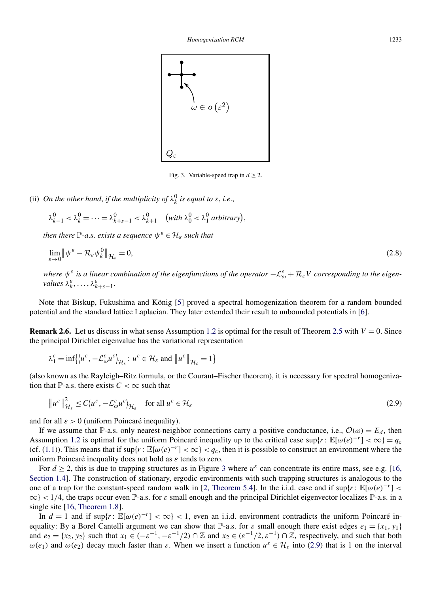<span id="page-7-0"></span>

Fig. 3. Variable-speed trap in  $d \geq 2$ .

(ii) *On the other hand, if the multiplicity of*  $\lambda_k^0$  *is equal to s, i.e.,* 

$$
\lambda_{k-1}^0 < \lambda_k^0 = \dots = \lambda_{k+s-1}^0 < \lambda_{k+1}^0 \quad \text{(with } \lambda_0^0 < \lambda_1^0 \text{ arbitrary}\text{)},
$$

*then there*  $\mathbb{P}$ *-a.s. exists a sequence*  $\psi^{\varepsilon} \in \mathcal{H}_{\varepsilon}$  *such that* 

$$
\lim_{\varepsilon \to 0} \left\| \psi^{\varepsilon} - \mathcal{R}_{\varepsilon} \psi^0_k \right\|_{\mathcal{H}_{\varepsilon}} = 0, \tag{2.8}
$$

*where*  $\psi^{\varepsilon}$  *is a linear combination of the eigenfunctions of the operator*  $-\mathcal{L}^{\varepsilon}_{\omega}+\mathcal{R}_{\varepsilon}V$  *corresponding to the eigenvalues*  $\lambda_k^{\varepsilon}, \ldots, \lambda_{k+s-1}^{\varepsilon}$ .

Note that Biskup, Fukushima and König [\[5\]](#page-30-0) proved a spectral homogenization theorem for a random bounded potential and the standard lattice Laplacian. They later extended their result to unbounded potentials in [\[6\]](#page-30-0).

**Remark 2.6.** Let us discuss in what sense Assumption [1.2](#page-3-0) is optimal for the result of Theorem [2.5](#page-6-0) with  $V = 0$ . Since the principal Dirichlet eigenvalue has the variational representation

$$
\lambda_1^{\varepsilon} = \inf \{ \langle u^{\varepsilon}, -\mathcal{L}_{\omega}^{\varepsilon} u^{\varepsilon} \rangle_{\mathcal{H}_{\varepsilon}} : u^{\varepsilon} \in \mathcal{H}_{\varepsilon} \text{ and } \| u^{\varepsilon} \|_{\mathcal{H}_{\varepsilon}} = 1 \}
$$

(also known as the Rayleigh–Ritz formula, or the Courant–Fischer theorem), it is necessary for spectral homogenization that P-a.s. there exists  $C < \infty$  such that

$$
\|u^{\varepsilon}\|_{\mathcal{H}_{\varepsilon}}^{2} \le C\langle u^{\varepsilon}, -\mathcal{L}_{\omega}^{\varepsilon} u^{\varepsilon} \rangle_{\mathcal{H}_{\varepsilon}} \quad \text{for all } u^{\varepsilon} \in \mathcal{H}_{\varepsilon}
$$
\n(2.9)

and for all *ε >* 0 (uniform Poincaré inequality).

If we assume that P-a.s. only nearest-neighbor connections carry a positive conductance, i.e.,  $\mathcal{O}(\omega) = E_d$ , then Assumption [1.2](#page-3-0) is optimal for the uniform Poincaré inequality up to the critical case  $\sup\{r : \mathbb{E}[\omega(e)^{-r}] < \infty\} = q_c$ (cf. [\(1.1\)](#page-1-0)). This means that if  $\sup\{r : \mathbb{E}[\omega(e)^{-r}] < \infty\} < q_c$ , then it is possible to construct an environment where the uniform Poincaré inequality does not hold as *ε* tends to zero.

For  $d \ge 2$ , this is due to trapping structures as in Figure 3 where  $u^{\varepsilon}$  can concentrate its entire mass, see e.g. [\[16,](#page-30-0) [Section 1.4\]](#page-30-0). The construction of stationary, ergodic environments with such trapping structures is analogous to the one of a trap for the constant-speed random walk in [\[2, Theorem 5.4\]](#page-30-0). In the i.i.d. case and if  $\sup\{r : \mathbb{E}[\omega(e)^{-r}] <$  $\infty$ } < 1/4, the traps occur even P-a.s. for  $\varepsilon$  small enough and the principal Dirichlet eigenvector localizes P-a.s. in a single site [\[16, Theorem 1.8\]](#page-30-0).

In  $d = 1$  and if  $\sup\{r : \mathbb{E}[\omega(e)^{-r}] < \infty\} < 1$ , even an i.i.d. environment contradicts the uniform Poincaré inequality: By a Borel Cantelli argument we can show that P-a.s. for  $\varepsilon$  small enough there exist edges  $e_1 = \{x_1, y_1\}$ and  $e_2 = \{x_2, y_2\}$  such that  $x_1 \in (-\varepsilon^{-1}, -\varepsilon^{-1}/2) \cap \mathbb{Z}$  and  $x_2 \in (\varepsilon^{-1}/2, \varepsilon^{-1}) \cap \mathbb{Z}$ , respectively, and such that both *ω*(*e*<sub>1</sub>) and *ω*(*e*<sub>2</sub>) decay much faster than *ε*. When we insert a function  $u^ε ∈ H_ε$  into (2.9) that is 1 on the interval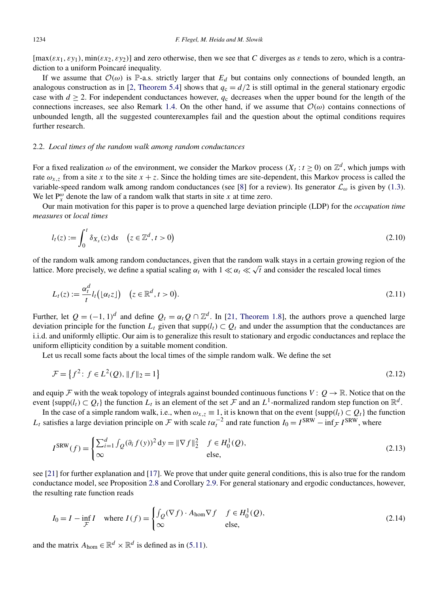<span id="page-8-0"></span> $[\max(\varepsilon x_1, \varepsilon y_1), \min(\varepsilon x_2, \varepsilon y_2)]$  and zero otherwise, then we see that *C* diverges as  $\varepsilon$  tends to zero, which is a contradiction to a uniform Poincaré inequality.

If we assume that  $\mathcal{O}(\omega)$  is P-a.s. strictly larger that  $E_d$  but contains only connections of bounded length, an analogous construction as in [\[2, Theorem 5.4\]](#page-30-0) shows that  $q_c = d/2$  is still optimal in the general stationary ergodic case with  $d \ge 2$ . For independent conductances however,  $q_c$  decreases when the upper bound for the length of the connections increases, see also Remark [1.4.](#page-4-0) On the other hand, if we assume that  $\mathcal{O}(\omega)$  contains connections of unbounded length, all the suggested counterexamples fail and the question about the optimal conditions requires further research.

# 2.2. *Local times of the random walk among random conductances*

For a fixed realization  $\omega$  of the environment, we consider the Markov process  $(X_t : t \ge 0)$  on  $\mathbb{Z}^d$ , which jumps with rate  $\omega_{x,z}$  from a site *x* to the site  $x + z$ . Since the holding times are site-dependent, this Markov process is called the variable-speed random walk among random conductances (see [\[8\]](#page-30-0) for a review). Its generator  $\mathcal{L}_{\omega}$  is given by [\(1.3\)](#page-2-0). We let  $P_x^{\omega}$  denote the law of a random walk that starts in site *x* at time zero.

Our main motivation for this paper is to prove a quenched large deviation principle (LDP) for the *occupation time measures* or *local times*

$$
l_t(z) := \int_0^t \delta_{X_s}(z) \, \mathrm{d}s \quad \left(z \in \mathbb{Z}^d, t > 0\right) \tag{2.10}
$$

of the random walk among random conductances, given that the random walk stays in a certain growing region of the lattice. More precisely, we define a spatial scaling  $\alpha_t$  with  $1 \ll \alpha_t \ll \sqrt{t}$  and consider the rescaled local times

$$
L_t(z) := \frac{\alpha_t^d}{t} l_t \big( [\alpha_t z] \big) \quad \big( z \in \mathbb{R}^d, t > 0 \big). \tag{2.11}
$$

Further, let  $Q = (-1, 1)^d$  and define  $Q_t = \alpha_t Q \cap \mathbb{Z}^d$ . In [\[21, Theorem 1.8\]](#page-30-0), the authors prove a quenched large deviation principle for the function  $L_t$  given that supp $(l_t) \subset Q_t$  and under the assumption that the conductances are i.i.d. and uniformly elliptic. Our aim is to generalize this result to stationary and ergodic conductances and replace the uniform ellipticity condition by a suitable moment condition.

Let us recall some facts about the local times of the simple random walk. We define the set

$$
\mathcal{F} = \left\{ f^2 : f \in L^2(Q), \|f\|_2 = 1 \right\} \tag{2.12}
$$

and equip  $\mathcal F$  with the weak topology of integrals against bounded continuous functions  $V: Q \to \mathbb R$ . Notice that on the event {supp $(l_t) \subset Q_t$ } the function  $L_t$  is an element of the set F and an  $L^1$ -normalized random step function on  $\mathbb{R}^d$ .

In the case of a simple random walk, i.e., when  $\omega_{x,z} \equiv 1$ , it is known that on the event {supp $(l_t) \subset Q_t$ } the function *L<sub>t</sub>* satisfies a large deviation principle on  $\mathcal F$  with scale  $t\alpha_t^{-2}$  and rate function  $I_0 = I^{SRW} - \inf_{\mathcal F} I^{SRW}$ , where

$$
I^{SRW}(f) = \begin{cases} \sum_{i=1}^{d} \int_{Q} (\partial_i f(y))^2 dy = ||\nabla f||_2^2 & f \in H_0^1(Q), \\ \infty & \text{else,} \end{cases}
$$
 (2.13)

see [\[21\]](#page-30-0) for further explanation and [\[17\]](#page-30-0). We prove that under quite general conditions, this is also true for the random conductance model, see Proposition [2.8](#page-9-0) and Corollary [2.9.](#page-9-0) For general stationary and ergodic conductances, however, the resulting rate function reads

$$
I_0 = I - \inf_{\mathcal{F}} I \quad \text{where } I(f) = \begin{cases} \int_{\mathcal{Q}} (\nabla f) \cdot A_{\text{hom}} \nabla f & f \in H_0^1(\mathcal{Q}), \\ \infty & \text{else,} \end{cases}
$$
 (2.14)

and the matrix  $A_{\text{hom}} \in \mathbb{R}^d \times \mathbb{R}^d$  is defined as in [\(5.11\)](#page-16-0).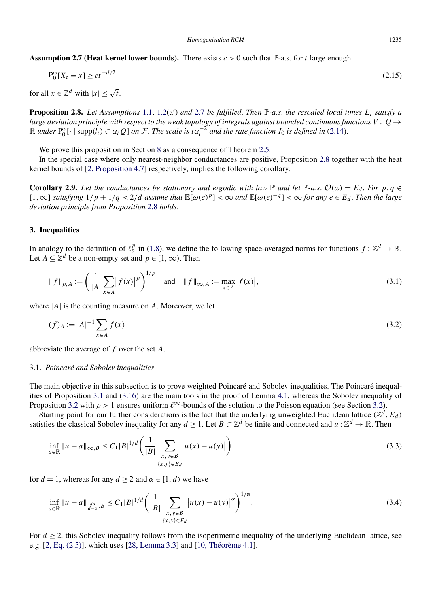<span id="page-9-0"></span>**Assumption 2.7 (Heat kernel lower bounds).** There exists  $c > 0$  such that  $\mathbb{P}$ -a.s. for *t* large enough

$$
P_0^{\omega}[X_t = x] \ge ct^{-d/2} \tag{2.15}
$$

for all  $x \in \mathbb{Z}^d$  with  $|x| \leq \sqrt{t}$ .

**Proposition 2.8.** Let Assumptions [1.1,](#page-3-0) [1.2\(](#page-3-0)a') and 2.7 be fulfilled. Then P-a.s. the rescaled local times  $L_t$  satisfy a *large deviation principle with respect to the weak topology of integrals against bounded continuous functions*  $V: Q \rightarrow$  $\mathbb{R}$  *under*  $P_0^{\omega}$ [· | supp $(\hat{l}_t) \subset \alpha_t Q$ ] *on*  $\mathcal{F}$ . The scale is  $t\alpha_t^{-2}$  *and the rate function*  $I_0$  *is defined in* [\(2.14\)](#page-8-0).

We prove this proposition in Section [8](#page-28-0) as a consequence of Theorem [2.5.](#page-6-0)

In the special case where only nearest-neighbor conductances are positive, Proposition 2.8 together with the heat kernel bounds of [\[2, Proposition 4.7\]](#page-30-0) respectively, implies the following corollary.

**Corollary 2.9.** Let the conductances be stationary and ergodic with law  $\mathbb P$  and let  $\mathbb P$ -a.s.  $\mathcal O(\omega) = E_d$ . For  $p, q \in$  $[1,\infty]$  satisfying  $1/p+1/q < 2/d$  assume that  $\mathbb{E}[\omega(e)^p] < \infty$  and  $\mathbb{E}[\omega(e)^{-q}] < \infty$  for any  $e \in E_d$ . Then the large *deviation principle from Proposition* 2.8 *holds*.

# **3. Inequalities**

In analogy to the definition of  $\ell_{\varepsilon}^p$  in [\(1.8\)](#page-4-0), we define the following space-averaged norms for functions  $f: \mathbb{Z}^d \to \mathbb{R}$ . Let  $A \subseteq \mathbb{Z}^d$  be a non-empty set and  $p \in [1, \infty)$ . Then

$$
\|f\|_{p,A} := \left(\frac{1}{|A|} \sum_{x \in A} |f(x)|^p\right)^{1/p} \quad \text{and} \quad \|f\|_{\infty,A} := \max_{x \in A} |f(x)|,\tag{3.1}
$$

where |*A*| is the counting measure on *A*. Moreover, we let

$$
(f)_A := |A|^{-1} \sum_{x \in A} f(x) \tag{3.2}
$$

abbreviate the average of *f* over the set *A*.

#### 3.1. *Poincaré and Sobolev inequalities*

The main objective in this subsection is to prove weighted Poincaré and Sobolev inequalities. The Poincaré inequalities of Proposition [3.1](#page-10-0) and [\(3.16\)](#page-11-0) are the main tools in the proof of Lemma [4.1,](#page-13-0) whereas the Sobolev inequality of Proposition [3.2](#page-11-0) with  $\rho > 1$  ensures uniform  $\ell^{\infty}$ -bounds of the solution to the Poisson equation (see Section [3.2\)](#page-12-0).

Starting point for our further considerations is the fact that the underlying unweighted Euclidean lattice  $(\mathbb{Z}^d, E_d)$ satisfies the classical Sobolev inequality for any  $d \geq 1$ . Let  $B \subset \mathbb{Z}^d$  be finite and connected and  $u : \mathbb{Z}^d \to \mathbb{R}$ . Then

$$
\inf_{a \in \mathbb{R}} \|u - a\|_{\infty, B} \le C_1 |B|^{1/d} \left( \frac{1}{|B|} \sum_{\substack{x, y \in B \\ \{x, y\} \in E_d}} |u(x) - u(y)| \right) \tag{3.3}
$$

for  $d = 1$ , whereas for any  $d > 2$  and  $\alpha \in [1, d)$  we have

$$
\inf_{a \in \mathbb{R}} \|u - a\|_{\frac{d\alpha}{d - \alpha}, B} \le C_1 |B|^{1/d} \left(\frac{1}{|B|} \sum_{\substack{x, y \in B \\ \{x, y\} \in E_d}} |u(x) - u(y)|^{\alpha}\right)^{1/\alpha}.
$$
\n(3.4)

For  $d > 2$ , this Sobolev inequality follows from the isoperimetric inequality of the underlying Euclidean lattice, see e.g. [\[2, Eq. \(2.5\)\]](#page-30-0), which uses [\[28, Lemma 3.3\]](#page-30-0) and [\[10, Théorème 4.1\]](#page-30-0).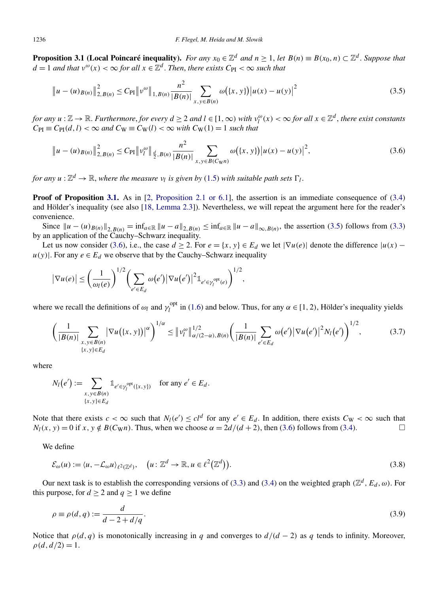<span id="page-10-0"></span>**Proposition 3.1 (Local Poincaré inequality).** *For any*  $x_0 \in \mathbb{Z}^d$  *and*  $n \ge 1$ *, let*  $B(n) \equiv B(x_0, n) \subset \mathbb{Z}^d$ . Suppose that  $d = 1$  *and that*  $v^{\omega}(x) < \infty$  *for all*  $x \in \mathbb{Z}^d$ . *Then, there exists*  $C_{\text{PI}} < \infty$  *such that* 

$$
\|u - (u)_{B(n)}\|_{2, B(n)}^2 \le C_{\text{PI}} \|v^{\omega}\|_{1, B(n)} \frac{n^2}{|B(n)|} \sum_{x, y \in B(n)} \omega(\{x, y\}) |u(x) - u(y)|^2
$$
\n(3.5)

for any  $u:\mathbb{Z}\to\mathbb{R}$ . Furthermore, for every  $d\geq 2$  and  $l\in[1,\infty)$  with  $v_l^{\omega}(x)<\infty$  for all  $x\in\mathbb{Z}^d$ , there exist constants  $C_{\text{PI}} \equiv C_{\text{PI}}(d, l) < \infty$  and  $C_{\text{W}} \equiv C_{\text{W}}(l) < \infty$  with  $C_{\text{W}}(1) = 1$  such that

$$
\|u - (u)_{B(n)}\|_{2, B(n)}^2 \le C_{\text{PI}} \|v_l^{\omega}\|_{\frac{d}{2}, B(n)} \frac{n^2}{|B(n)|} \sum_{x, y \in B(C_{\text{W}}(n))} \omega(\{x, y\}) |u(x) - u(y)|^2,
$$
\n(3.6)

*for any*  $u : \mathbb{Z}^d \to \mathbb{R}$ , *where the measure*  $v_l$  *is given by* [\(1.5\)](#page-3-0) *with suitable path sets*  $\Gamma_l$ .

**Proof of Proposition 3.1.** As in [\[2, Proposition 2.1 or 6.1\]](#page-30-0), the assertion is an immediate consequence of [\(3.4\)](#page-9-0) and Hölder's inequality (see also [\[18, Lemma 2.3\]](#page-30-0)). Nevertheless, we will repeat the argument here for the reader's convenience.

Since  $||u - (u)_{B(n)}||_{2, B(n)} = \inf_{a \in \mathbb{R}} ||u - a||_{2, B(n)} \le \inf_{a \in \mathbb{R}} ||u - a||_{\infty, B(n)}$ , the assertion (3.5) follows from [\(3.3\)](#page-9-0) by an application of the Cauchy–Schwarz inequality.

Let us now consider (3.6), i.e., the case  $d \ge 2$ . For  $e = \{x, y\} \in E_d$  we let  $|\nabla u(e)|$  denote the difference  $|u(x)$  $u(y)$ . For any  $e \in E_d$  we observe that by the Cauchy–Schwarz inequality

$$
|\nabla u(e)| \leq \left(\frac{1}{\omega_l(e)}\right)^{1/2} \left(\sum_{e' \in E_d} \omega(e')|\nabla u(e')|^2 1_{e' \in \gamma_l^{\text{opt}}(e)}\right)^{1/2},
$$

where we recall the definitions of  $\omega_l$  and  $\gamma_l^{\text{opt}}$  in [\(1.6\)](#page-3-0) and below. Thus, for any  $\alpha \in [1, 2)$ , Hölder's inequality yields

$$
\left(\frac{1}{|B(n)|}\sum_{\substack{x,y\in B(n)\\ \{x,y\}\in E_d}}|\nabla u(\{x,y\})|^{\alpha}\right)^{1/\alpha}\leq \|v_l^{\omega}\|_{\alpha/(2-\alpha),B(n)}^{1/2}\left(\frac{1}{|B(n)|}\sum_{e'\in E_d}\omega(e')|\nabla u(e')|^{2}N_l(e')\right)^{1/2},\tag{3.7}
$$

where

$$
N_l(e') := \sum_{\substack{x,y \in B(n) \\ \{x,y\} \in E_d}} 1_{e' \in \gamma_l^{\text{opt}}(\{x,y\})}
$$
 for any  $e' \in E_d$ .

Note that there exists  $c < \infty$  such that  $N_l(e') \leq c l^d$  for any  $e' \in E_d$ . In addition, there exists  $C_W < \infty$  such that  $N_l(x, y) = 0$  if  $x, y \notin B(C_W n)$ . Thus, when we choose  $\alpha = 2d/(d+2)$ , then (3.6) follows from [\(3.4\)](#page-9-0).

We define

$$
\mathcal{E}_{\omega}(u) := \langle u, -\mathcal{L}_{\omega} u \rangle_{\ell^2(\mathbb{Z}^d)}, \quad \left(u \colon \mathbb{Z}^d \to \mathbb{R}, u \in \ell^2(\mathbb{Z}^d)\right). \tag{3.8}
$$

Our next task is to establish the corresponding versions of [\(3.3\)](#page-9-0) and [\(3.4\)](#page-9-0) on the weighted graph  $(\mathbb{Z}^d, E_d, \omega)$ . For this purpose, for  $d \ge 2$  and  $q \ge 1$  we define

$$
\rho \equiv \rho(d, q) := \frac{d}{d - 2 + d/q}.\tag{3.9}
$$

Notice that  $\rho(d, q)$  is monotonically increasing in *q* and converges to  $d/(d-2)$  as *q* tends to infinity. Moreover,  $\rho(d, d/2) = 1.$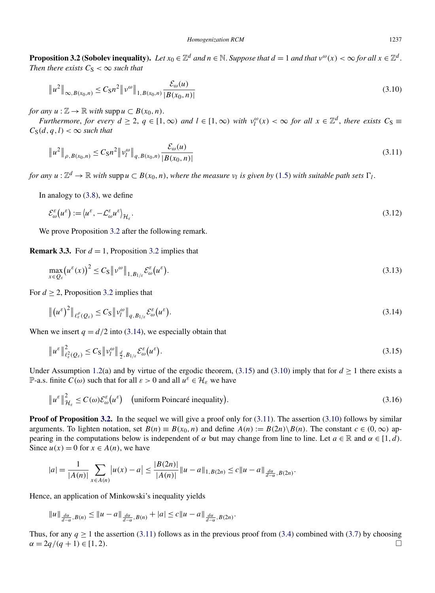<span id="page-11-0"></span>**Proposition 3.2 (Sobolev inequality).** *Let*  $x_0 \in \mathbb{Z}^d$  *and*  $n \in \mathbb{N}$ . *Suppose that*  $d = 1$  *and that*  $v^\omega(x) < \infty$  *for all*  $x \in \mathbb{Z}^d$ . *Then there exists*  $C_S < \infty$  *such that* 

$$
\|u^2\|_{\infty, B(x_0, n)} \le C_S n^2 \|v^{\omega}\|_{1, B(x_0, n)} \frac{\mathcal{E}_{\omega}(u)}{|B(x_0, n)|}
$$
\n(3.10)

*for any*  $u : \mathbb{Z} \to \mathbb{R}$  *with* supp  $u \subset B(x_0, n)$ .

Furthermore, for every  $d \ge 2$ ,  $q \in [1,\infty)$  and  $l \in [1,\infty)$  with  $v_l^{\omega}(x) < \infty$  for all  $x \in \mathbb{Z}^d$ , there exists  $C_S \equiv$  $C_S(d, q, l) < \infty$  *such that* 

$$
\|u^2\|_{\rho, B(x_0, n)} \leq C_5 n^2 \|v_l^{\omega}\|_{q, B(x_0, n)} \frac{\mathcal{E}_{\omega}(u)}{|B(x_0, n)|}
$$
\n(3.11)

*for any*  $u : \mathbb{Z}^d \to \mathbb{R}$  *with* supp $u \subset B(x_0, n)$ *, where the measure*  $v_l$  *is given by* [\(1.5\)](#page-3-0) *with suitable path sets*  $\Gamma_l$ *.* 

In analogy to [\(3.8\)](#page-10-0), we define

$$
\mathcal{E}_{\omega}^{\varepsilon}(u^{\varepsilon}) := \langle u^{\varepsilon}, -\mathcal{L}_{\omega}^{\varepsilon} u^{\varepsilon} \rangle_{\mathcal{H}_{\varepsilon}}.
$$
\n(3.12)

We prove Proposition 3.2 after the following remark.

**Remark 3.3.** For  $d = 1$ , Proposition 3.2 implies that

$$
\max_{x \in Q_{\varepsilon}} \left( u^{\varepsilon}(x) \right)^{2} \leq C_{\mathcal{S}} \left\| v^{\omega} \right\|_{1, B_{1/\varepsilon}} \mathcal{E}_{\omega}^{\varepsilon} \left( u^{\varepsilon} \right). \tag{3.13}
$$

For  $d \geq 2$ , Proposition 3.2 implies that

$$
\left\| \left( u^{\varepsilon} \right)^2 \right\|_{\ell_{\varepsilon}^{\rho} (Q_{\varepsilon})} \leq C_{\mathrm{S}} \left\| v_l^{\omega} \right\|_{q, B_{1/\varepsilon}} \mathcal{E}_{\omega}^{\varepsilon} \left( u^{\varepsilon} \right). \tag{3.14}
$$

When we insert  $q = d/2$  into (3.14), we especially obtain that

$$
\|u^{\varepsilon}\|_{\ell_{\varepsilon}^{2}(Q_{\varepsilon})}^{2} \leq C_{S} \|v_{l}^{\omega}\|_{\frac{d}{2},B_{1/\varepsilon}} \mathcal{E}_{\omega}^{\varepsilon}(u^{\varepsilon}).
$$
\n(3.15)

Under Assumption [1.2\(](#page-3-0)a) and by virtue of the ergodic theorem, (3.15) and (3.10) imply that for  $d \ge 1$  there exists a P-a.s. finite  $C(\omega)$  such that for all  $\varepsilon > 0$  and all  $u^{\varepsilon} \in \mathcal{H}_{\varepsilon}$  we have

$$
\|u^{\varepsilon}\|_{\mathcal{H}_{\varepsilon}}^{2} \le C(\omega)\mathcal{E}_{\omega}^{\varepsilon}(u^{\varepsilon}) \quad \text{(uniform Poincaré inequality)}.
$$
\n(3.16)

**Proof of Proposition 3.2.** In the sequel we will give a proof only for (3.11). The assertion (3.10) follows by similar arguments. To lighten notation, set  $B(n) \equiv B(x_0, n)$  and define  $A(n) \equiv B(2n) \setminus B(n)$ . The constant  $c \in (0, \infty)$  appearing in the computations below is independent of  $\alpha$  but may change from line to line. Let  $a \in \mathbb{R}$  and  $\alpha \in [1, d)$ . Since  $u(x) = 0$  for  $x \in A(n)$ , we have

$$
|a| = \frac{1}{|A(n)|} \sum_{x \in A(n)} |u(x) - a| \le \frac{|B(2n)|}{|A(n)|} \|u - a\|_{1, B(2n)} \le c \|u - a\|_{\frac{d\alpha}{d - \alpha}, B(2n)}.
$$

Hence, an application of Minkowski's inequality yields

$$
||u||_{\frac{d\alpha}{d-\alpha},B(n)} \leq ||u-a||_{\frac{d\alpha}{d-\alpha},B(n)} + |a| \leq c||u-a||_{\frac{d\alpha}{d-\alpha},B(2n)}.
$$

Thus, for any  $q \ge 1$  the assertion (3.11) follows as in the previous proof from [\(3.4\)](#page-9-0) combined with [\(3.7\)](#page-10-0) by choosing  $\alpha = 2q/(q+1) \in [1, 2).$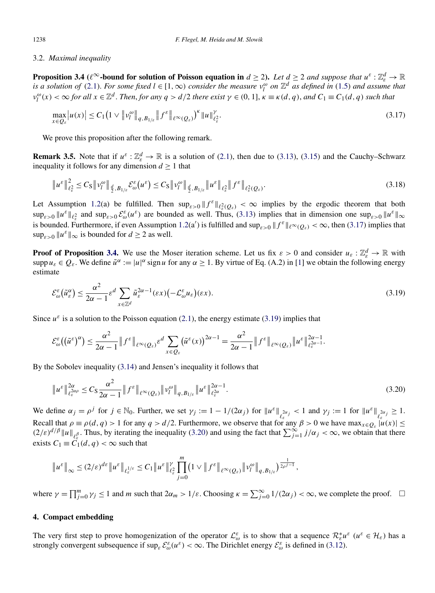#### <span id="page-12-0"></span>3.2. *Maximal inequality*

**Proposition 3.4** ( $\ell^{\infty}$ -bound for solution of Poisson equation in  $d \geq 2$ ). Let  $d \geq 2$  and suppose that  $u^{\varepsilon} : \mathbb{Z}_{\varepsilon}^{d} \to \mathbb{R}$ *is a solution of* [\(2.1\)](#page-5-0). *For some fixed*  $l \in [1,\infty)$  *consider the measure*  $v_l^{\omega}$  *on*  $\mathbb{Z}^d$  *as defined in* [\(1.5\)](#page-3-0) *and assume that*  $v_l^{\omega}(x) < \infty$  for all  $x \in \mathbb{Z}^d$ . Then, for any  $q > d/2$  there exist  $\gamma \in (0, 1]$ ,  $\kappa \equiv \kappa(d, q)$ , and  $C_1 \equiv C_1(d, q)$  such that

$$
\max_{x \in Q_{\varepsilon}} |u(x)| \le C_1 \left( 1 \vee \|v_l^{\omega}\|_{q, B_{1/\varepsilon}} \|f^{\varepsilon}\|_{\ell^{\infty}(Q_{\varepsilon})}\right)^{\kappa} \|u\|_{\ell^2_{\varepsilon}}^{\gamma}.
$$
\n(3.17)

We prove this proposition after the following remark.

**Remark 3.5.** Note that if  $u^{\varepsilon} : \mathbb{Z}_{\varepsilon}^d \to \mathbb{R}$  is a solution of [\(2.1\)](#page-5-0), then due to [\(3.13\)](#page-11-0), [\(3.15\)](#page-11-0) and the Cauchy–Schwarz inequality it follows for any dimension  $d \geq 1$  that

$$
\|u^{\varepsilon}\|_{\ell_{\varepsilon}^{2}}^{2} \leq C_{\mathrm{S}}\|v_{l}^{\omega}\|_{\frac{d}{2},B_{1/\varepsilon}}\mathcal{E}_{\omega}^{\varepsilon}(u^{\varepsilon}) \leq C_{\mathrm{S}}\|v_{l}^{\omega}\|_{\frac{d}{2},B_{1/\varepsilon}}\|u^{\varepsilon}\|_{\ell_{\varepsilon}^{2}}\|f^{\varepsilon}\|_{\ell_{\varepsilon}^{2}(Q_{\varepsilon})}.
$$
\n(3.18)

Let Assumption [1.2\(](#page-3-0)a) be fulfilled. Then  $\sup_{\varepsilon>0} \|f^{\varepsilon}\|_{\ell_{\varepsilon}^2(Q_{\varepsilon})} < \infty$  implies by the ergodic theorem that both  $\sup_{\varepsilon>0} \|u^{\varepsilon}\|_{\ell^2_{\varepsilon}}$  and  $\sup_{\varepsilon>0} \mathcal{E}_{\omega}^{\varepsilon}(u^{\varepsilon})$  are bounded as well. Thus, [\(3.13\)](#page-11-0) implies that in dimension one  $\sup_{\varepsilon>0} \|u^{\varepsilon}\|_{\infty}$ is bounded. Furthermore, if even Assumption [1.2\(](#page-3-0)a') is fulfilled and  $\sup_{\varepsilon>0} ||f^{\varepsilon}||_{\ell^{\infty}(Q_{\varepsilon})} < \infty$ , then (3.17) implies that  $\sup_{s>0} ||u^{\varepsilon}||_{\infty}$  is bounded for  $d \geq 2$  as well.

**Proof of Proposition 3.4.** We use the Moser iteration scheme. Let us fix  $\varepsilon > 0$  and consider  $u_{\varepsilon} : \mathbb{Z}_{\varepsilon}^d \to \mathbb{R}$  with supp  $u_{\varepsilon} \in Q_{\varepsilon}$ . We define  $\tilde{u}^{\alpha} := |u|^{\alpha} \text{ sign } u$  for any  $\alpha \ge 1$ . By virtue of Eq. (A.2) in [\[1\]](#page-30-0) we obtain the following energy estimate

$$
\mathcal{E}_{\omega}^{\varepsilon}(\tilde{u}_{\varepsilon}^{\alpha}) \le \frac{\alpha^{2}}{2\alpha - 1} \varepsilon^{d} \sum_{x \in \mathbb{Z}^{d}} \tilde{u}_{\varepsilon}^{2\alpha - 1}(\varepsilon x) \left( -\mathcal{L}_{\omega}^{\varepsilon} u_{\varepsilon} \right)(\varepsilon x). \tag{3.19}
$$

Since  $u^{\varepsilon}$  is a solution to the Poisson equation [\(2.1\)](#page-5-0), the energy estimate (3.19) implies that

$$
\mathcal{E}_{\omega}^{\varepsilon}\big(\big(\tilde{u}^{\varepsilon}\big)^{\alpha}\big) \leq \frac{\alpha^{2}}{2\alpha-1} \|f^{\varepsilon}\|_{\ell^{\infty}(Q_{\varepsilon})} \varepsilon^{d} \sum_{x \in Q_{\varepsilon}} \big(\tilde{u}^{\varepsilon}(x)\big)^{2\alpha-1} = \frac{\alpha^{2}}{2\alpha-1} \|f^{\varepsilon}\|_{\ell^{\infty}(Q_{\varepsilon})} \|u^{\varepsilon}\|_{\ell^{\frac{2\alpha-1}{\varepsilon}}}^{2\alpha-1}.
$$

By the Sobolev inequality [\(3.14\)](#page-11-0) and Jensen's inequality it follows that

$$
\|u^{\varepsilon}\|_{\ell_{\varepsilon}^{2\alpha\rho}}^{2\alpha} \leq C_{\mathrm{S}} \frac{\alpha^2}{2\alpha - 1} \|f^{\varepsilon}\|_{\ell^{\infty}(Q_{\varepsilon})} \|v^{\omega}_{l}\|_{q, B_{1/\varepsilon}} \|u^{\varepsilon}\|_{\ell_{\varepsilon}^{2\alpha}}^{2\alpha - 1}.
$$
\n(3.20)

We define  $\alpha_j = \rho^j$  for  $j \in \mathbb{N}_0$ . Further, we set  $\gamma_j := 1 - 1/(2\alpha_j)$  for  $||u^{\varepsilon}||_{\ell_{\varepsilon}^{2\alpha_j}} < 1$  and  $\gamma_j := 1$  for  $||u^{\varepsilon}||_{\ell_{\varepsilon}^{2\alpha_j}} \ge 1$ . Recall that  $\rho \equiv \rho(d, q) > 1$  for any  $q > d/2$ . Furthermore, we observe that for any  $\beta > 0$  we have max $x \in Q_{\varepsilon}$   $|u(x)| \leq$  $(2/\varepsilon)^{d/\beta} ||u||_{\ell^{\beta}_{\varepsilon}}$ . Thus, by iterating the inequality (3.20) and using the fact that  $\sum_{j=1}^{\infty} j/\alpha_j < \infty$ , we obtain that there exists  $C_1 \equiv C_1(d,q) < \infty$  such that

$$
\|u^{\varepsilon}\|_{\infty} \leq (2/\varepsilon)^{d\varepsilon} \|u^{\varepsilon}\|_{\ell^{1/\varepsilon}_\varepsilon} \leq C_1 \|u^{\varepsilon}\|_{\ell^2_\varepsilon}^{\gamma} \prod_{j=0}^m (1 \vee \|f^{\varepsilon}\|_{\ell^{\infty}(Q_{\varepsilon})} \|v^{\omega}_l\|_{q, B_{1/\varepsilon}})^{\frac{1}{2\rho^{j-1}}},
$$

where  $\gamma = \prod_{j=0}^{m} \gamma_j \le 1$  and *m* such that  $2\alpha_m > 1/\varepsilon$ . Choosing  $\kappa = \sum_{j=0}^{\infty} 1/(2\alpha_j) < \infty$ , we complete the proof.  $\Box$ 

# **4. Compact embedding**

The very first step to prove homogenization of the operator  $\mathcal{L}_{\omega}^{\varepsilon}$  is to show that a sequence  $\mathcal{R}_{\varepsilon}^{*}u^{\varepsilon}$  ( $u^{\varepsilon} \in \mathcal{H}_{\varepsilon}$ ) has a strongly convergent subsequence if  $\sup_{\varepsilon} \mathcal{E}_{\omega}^{\varepsilon}(u^{\varepsilon}) < \infty$ . The Dirichlet energy  $\mathcal{E}_{\omega}^{\varepsilon}$  is defined in [\(3.12\)](#page-11-0).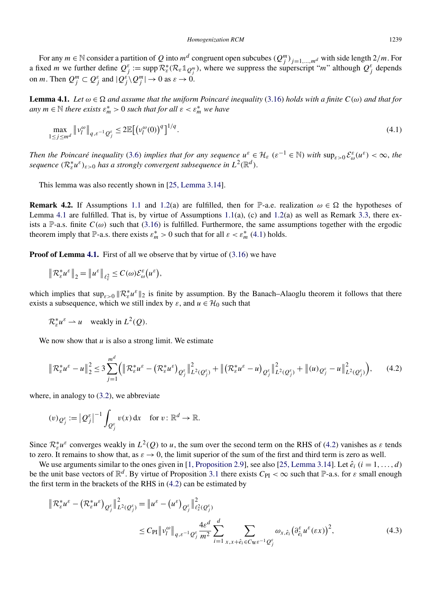<span id="page-13-0"></span>For any  $m \in \mathbb{N}$  consider a partition of *Q* into  $m^d$  congruent open subcubes  $(Q_j^m)_{j=1,\dots,m^d}$  with side length 2/m. For a fixed *m* we further define  $Q_j^{\varepsilon} := \text{supp} \, \mathcal{R}_{\varepsilon}^*(\mathcal{R}_{\varepsilon} \mathbb{1}_{Q_j^m})$ , where we suppress the superscript "*m*" although  $Q_j^{\varepsilon}$  depends on *m*. Then  $Q_j^m \subset Q_j^{\varepsilon}$  and  $|Q_j^{\varepsilon} \rangle Q_j^m| \to 0$  as  $\varepsilon \to 0$ .

**Lemma 4.1.** Let  $\omega \in \Omega$  and assume that the uniform Poincaré inequality [\(3.16\)](#page-11-0) holds with a finite  $C(\omega)$  and that for *any*  $m \in \mathbb{N}$  *there exists*  $\varepsilon_m^* > 0$  *such that for all*  $\varepsilon < \varepsilon_m^*$  *we have* 

$$
\max_{1 \le j \le m^d} \|v_l^{\omega}\|_{q,\varepsilon^{-1}Q_j^{\varepsilon}} \le 2\mathbb{E}\big[\big(v_l^{\omega}(0)\big)^q\big]^{1/q}.\tag{4.1}
$$

*Then the Poincaré inequality* [\(3.6\)](#page-10-0) *implies that for any sequence*  $u^{\varepsilon} \in \mathcal{H}_{\varepsilon}$  ( $\varepsilon^{-1} \in \mathbb{N}$ ) with  $\sup_{\varepsilon>0} \mathcal{E}_{\omega}^{\varepsilon}(u^{\varepsilon}) < \infty$ , the  $s$ *equence*  $(\mathcal{R}_{\varepsilon}^* u^{\varepsilon})_{\varepsilon > 0}$  *has a strongly convergent subsequence in*  $L^2(\mathbb{R}^d)$ *.* 

This lemma was also recently shown in [\[25, Lemma 3.14\]](#page-30-0).

**Remark 4.2.** If Assumptions [1.1](#page-3-0) and [1.2\(](#page-3-0)a) are fulfilled, then for P-a.e. realization  $\omega \in \Omega$  the hypotheses of Lemma 4.1 are fulfilled. That is, by virtue of Assumptions [1.1\(](#page-3-0)a), (c) and [1.2\(](#page-3-0)a) as well as Remark [3.3,](#page-11-0) there exists a P-a.s. finite  $C(\omega)$  such that [\(3.16\)](#page-11-0) is fulfilled. Furthermore, the same assumptions together with the ergodic theorem imply that P-a.s. there exists  $\varepsilon_m^* > 0$  such that for all  $\varepsilon < \varepsilon_m^*$  (4.1) holds.

**Proof of Lemma 4.1.** First of all we observe that by virtue of [\(3.16\)](#page-11-0) we have

$$
\left\|\mathcal{R}_{\varepsilon}^* u^{\varepsilon}\right\|_2 = \left\|u^{\varepsilon}\right\|_{\ell_{\varepsilon}^2} \leq C(\omega)\mathcal{E}_{\omega}^{\varepsilon}\big(u^{\varepsilon}\big),
$$

which implies that  $\sup_{\varepsilon>0} \|\mathcal{R}_{\varepsilon}^* u^{\varepsilon}\|_2$  is finite by assumption. By the Banach–Alaoglu theorem it follows that there exists a subsequence, which we still index by  $\varepsilon$ , and  $u \in H_0$  such that

$$
\mathcal{R}_{\varepsilon}^* u^{\varepsilon} \rightharpoonup u \quad \text{weakly in } L^2(Q).
$$

We now show that  $u$  is also a strong limit. We estimate

$$
\|\mathcal{R}_{\varepsilon}^* u^{\varepsilon} - u\|_2^2 \le 3 \sum_{j=1}^{m^d} \Big( \|\mathcal{R}_{\varepsilon}^* u^{\varepsilon} - (\mathcal{R}_{\varepsilon}^* u^{\varepsilon})_{\mathcal{Q}_j^{\varepsilon}}\|_{L^2(\mathcal{Q}_j^{\varepsilon})}^2 + \|\big(\mathcal{R}_{\varepsilon}^* u^{\varepsilon} - u\big)_{\mathcal{Q}_j^{\varepsilon}}\|_{L^2(\mathcal{Q}_j^{\varepsilon})}^2 + \|(u)_{\mathcal{Q}_j^{\varepsilon}} - u\|_{L^2(\mathcal{Q}_j^{\varepsilon})}^2 \Big),\tag{4.2}
$$

where, in analogy to [\(3.2\)](#page-9-0), we abbreviate

$$
(v)_{\mathcal{Q}_j^{\varepsilon}} := \left| \mathcal{Q}_j^{\varepsilon} \right|^{-1} \int_{\mathcal{Q}_j^{\varepsilon}} v(x) \, \mathrm{d}x \quad \text{for } v \colon \mathbb{R}^d \to \mathbb{R}.
$$

Since  $\mathcal{R}_{\varepsilon}^* u^{\varepsilon}$  converges weakly in  $L^2(Q)$  to *u*, the sum over the second term on the RHS of (4.2) vanishes as  $\varepsilon$  tends to zero. It remains to show that, as  $\varepsilon \to 0$ , the limit superior of the sum of the first and third term is zero as well.

We use arguments similar to the ones given in [\[1, Proposition 2.9\]](#page-30-0), see also [\[25, Lemma 3.14\]](#page-30-0). Let  $\hat{e}_i$  ( $i = 1, \ldots, d$ ) be the unit base vectors of  $\mathbb{R}^d$ . By virtue of Proposition [3.1](#page-10-0) there exists  $C_{PI} < \infty$  such that  $\mathbb{P}$ -a.s. for  $\varepsilon$  small enough the first term in the brackets of the RHS in (4.2) can be estimated by

$$
\|\mathcal{R}_{\varepsilon}^* u^{\varepsilon} - (\mathcal{R}_{\varepsilon}^* u^{\varepsilon})_{Q_j^{\varepsilon}}\|_{L^2(Q_j^{\varepsilon})}^2 = \|u^{\varepsilon} - (u^{\varepsilon})_{Q_j^{\varepsilon}}\|_{\ell_{\varepsilon}^2(Q_j^{\varepsilon})}^2
$$
  

$$
\leq C_{\text{PI}} \|v_l^{\omega}\|_{q,\varepsilon^{-1}Q_j^{\varepsilon}} \frac{4\varepsilon^d}{m^2} \sum_{i=1}^d \sum_{x,x+\hat{e}_i \in C_{\text{WE}}^{-1}Q_j^{\varepsilon}} \omega_{x,\hat{e}_i} (\partial_{\hat{e}_i}^{\varepsilon} u^{\varepsilon}(\varepsilon x))^2,
$$
 (4.3)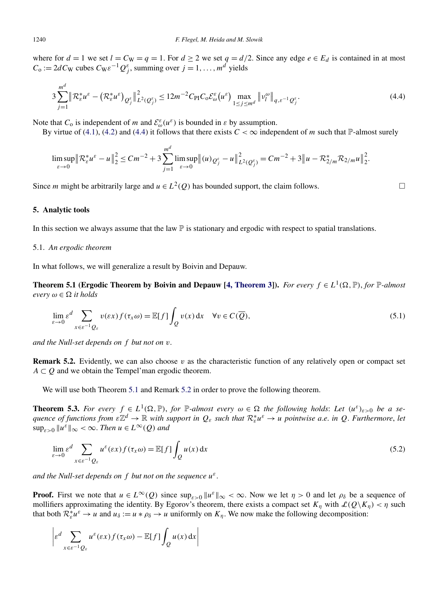<span id="page-14-0"></span>where for  $d = 1$  we set  $l = C_W = q = 1$ . For  $d \ge 2$  we set  $q = d/2$ . Since any edge  $e \in E_d$  is contained in at most  $C_0 := 2dC_W$  cubes  $C_W \varepsilon^{-1} Q_j^{\varepsilon}$ , summing over  $j = 1, ..., m^d$  yields

$$
3\sum_{j=1}^{m^d} \left\| \mathcal{R}_{\varepsilon}^* u^{\varepsilon} - \left( \mathcal{R}_{\varepsilon}^* u^{\varepsilon} \right)_{\mathcal{Q}_j^{\varepsilon}} \right\|_{L^2(\mathcal{Q}_j^{\varepsilon})}^2 \le 12m^{-2} C_{\text{PI}} C_0 \mathcal{E}_{\omega}^{\varepsilon} \left( u^{\varepsilon} \right) \max_{1 \le j \le m^d} \left\| v_l^{\omega} \right\|_{q,\varepsilon^{-1} \mathcal{Q}_j^{\varepsilon}}.
$$
\n(4.4)

Note that  $C_0$  is independent of *m* and  $\mathcal{E}_{\omega}^{\varepsilon}(u^{\varepsilon})$  is bounded in  $\varepsilon$  by assumption.

By virtue of [\(4.1\)](#page-13-0), [\(4.2\)](#page-13-0) and (4.4) it follows that there exists  $C < \infty$  independent of *m* such that P-almost surely

$$
\limsup_{\varepsilon \to 0} \left\| \mathcal{R}_{\varepsilon}^* u^{\varepsilon} - u \right\|_2^2 \leq Cm^{-2} + 3 \sum_{j=1}^{m^d} \limsup_{\varepsilon \to 0} \left\| (u)_{\mathcal{Q}_j^{\varepsilon}} - u \right\|_{L^2(\mathcal{Q}_j^{\varepsilon})}^2 = Cm^{-2} + 3 \left\| u - \mathcal{R}_{2/m}^* \mathcal{R}_{2/m} u \right\|_2^2.
$$

Since *m* might be arbitrarily large and  $u \in L^2(Q)$  has bounded support, the claim follows.

#### **5. Analytic tools**

In this section we always assume that the law  $\mathbb P$  is stationary and ergodic with respect to spatial translations.

## 5.1. *An ergodic theorem*

In what follows, we will generalize a result by Boivin and Depauw.

**Theorem 5.1 (Ergodic Theorem by Boivin and Depauw [\[4, Theorem 3\]](#page-30-0)).** *For every*  $f \in L^1(\Omega, \mathbb{P})$ , *for*  $\mathbb{P}\text{-}almost$ *every*  $\omega \in \Omega$  *it holds* 

$$
\lim_{\varepsilon \to 0} \varepsilon^d \sum_{x \in \varepsilon^{-1}Q_{\varepsilon}} v(\varepsilon x) f(\tau_x \omega) = \mathbb{E}[f] \int_Q v(x) dx \quad \forall v \in C(\overline{Q}),
$$
\n(5.1)

*and the Null-set depends on f but not on v*.

**Remark 5.2.** Evidently, we can also choose  $v$  as the characteristic function of any relatively open or compact set  $A \subset Q$  and we obtain the Tempel'man ergodic theorem.

We will use both Theorem 5.1 and Remark 5.2 in order to prove the following theorem.

**Theorem 5.3.** For every  $f \in L^1(\Omega, \mathbb{P})$ , for  $\mathbb{P}$ -almost every  $\omega \in \Omega$  the following holds: Let  $(u^{\varepsilon})_{\varepsilon > 0}$  be a se $q$ uence of functions from  $\epsilon \mathbb{Z}^d \to \mathbb{R}$  with support in  $Q_\epsilon$  such that  $\mathcal{R}^*_\epsilon u^\epsilon \to u$  pointwise a.e. in  $Q$ . Furthermore, let  $\sup_{\varepsilon>0}$   $\|u^{\varepsilon}\|_{\infty} < \infty$ . *Then*  $u \in L^{\infty}(Q)$  *and* 

$$
\lim_{\varepsilon \to 0} \varepsilon^d \sum_{x \in \varepsilon^{-1}Q_{\varepsilon}} u^{\varepsilon}(\varepsilon x) f(\tau_x \omega) = \mathbb{E}[f] \int_Q u(x) \, dx \tag{5.2}
$$

*and the Null-set depends on f but not on the sequence uε*.

**Proof.** First we note that  $u \in L^{\infty}(Q)$  since  $\sup_{\varepsilon>0} ||u^{\varepsilon}||_{\infty} < \infty$ . Now we let  $\eta > 0$  and let  $\rho_{\delta}$  be a sequence of mollifiers approximating the identity. By Egorov's theorem, there exists a compact set  $K_n$  with  $\mathcal{L}(Q\backslash K_n) < \eta$  such that both  $\mathcal{R}_{\varepsilon}^* u^{\varepsilon} \to u$  and  $u_{\delta} := u * \rho_{\delta} \to u$  uniformly on  $K_{\eta}$ . We now make the following decomposition:

$$
\left| \varepsilon^d \sum_{x \in \varepsilon^{-1}Q_{\varepsilon}} u^{\varepsilon}(\varepsilon x) f(\tau_x \omega) - \mathbb{E}[f] \int_Q u(x) dx \right|
$$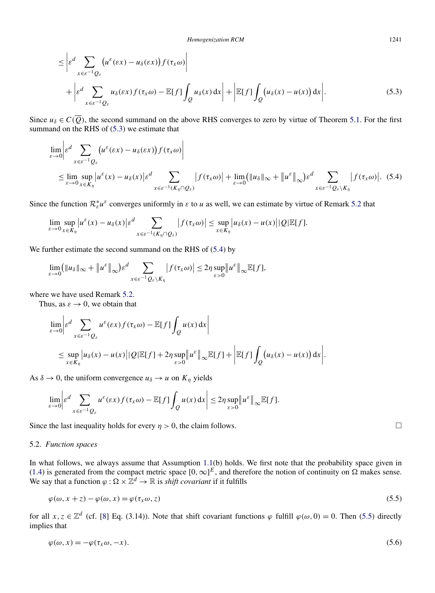<span id="page-15-0"></span>
$$
\leq \left| \varepsilon^{d} \sum_{x \in \varepsilon^{-1} Q_{\varepsilon}} \left( u^{\varepsilon}(\varepsilon x) - u_{\delta}(\varepsilon x) \right) f(\tau_{x} \omega) \right|
$$
  
+ 
$$
\left| \varepsilon^{d} \sum_{x \in \varepsilon^{-1} Q_{\varepsilon}} u_{\delta}(\varepsilon x) f(\tau_{x} \omega) - \mathbb{E}[f] \int_{Q} u_{\delta}(x) dx \right| + \left| \mathbb{E}[f] \int_{Q} \left( u_{\delta}(x) - u(x) \right) dx \right|.
$$
 (5.3)

Since  $u_{\delta} \in C(\overline{Q})$ , the second summand on the above RHS converges to zero by virtue of Theorem [5.1.](#page-14-0) For the first summand on the RHS of (5.3) we estimate that

$$
\lim_{\varepsilon \to 0} \left| \varepsilon^{d} \sum_{x \in \varepsilon^{-1}Q_{\varepsilon}} \left( u^{\varepsilon}(\varepsilon x) - u_{\delta}(\varepsilon x) \right) f(\tau_{x} \omega) \right|
$$
\n
$$
\leq \lim_{\varepsilon \to 0} \sup_{x \in K_{\eta}} \left| u^{\varepsilon}(x) - u_{\delta}(x) \right| \varepsilon^{d} \sum_{x \in \varepsilon^{-1}(K_{\eta} \cap Q_{\varepsilon})} \left| f(\tau_{x} \omega) \right| + \lim_{\varepsilon \to 0} (\|u_{\delta}\|_{\infty} + \|u^{\varepsilon}\|_{\infty}) \varepsilon^{d} \sum_{x \in \varepsilon^{-1}Q_{\varepsilon} \setminus K_{\eta}} \left| f(\tau_{x} \omega) \right|. (5.4)
$$

Since the function  $\mathcal{R}_{\varepsilon}^* u^{\varepsilon}$  converges uniformly in  $\varepsilon$  to *u* as well, we can estimate by virtue of Remark [5.2](#page-14-0) that

$$
\lim_{\varepsilon \to 0} \sup_{x \in K_{\eta}} |u^{\varepsilon}(x) - u_{\delta}(x)| \varepsilon^{d} \sum_{x \in \varepsilon^{-1}(K_{\eta} \cap Q_{\varepsilon})} |f(\tau_{x}\omega)| \leq \sup_{x \in K_{\eta}} |u_{\delta}(x) - u(x)| |Q| \mathbb{E}[f].
$$

We further estimate the second summand on the RHS of  $(5.4)$  by

$$
\lim_{\varepsilon\to 0} (\|u_\delta\|_\infty + \|u^\varepsilon\|_\infty) \varepsilon^d \sum_{x\in \varepsilon^{-1}Q_\varepsilon\setminus K_\eta} |f(\tau_x\omega)| \leq 2\eta \sup_{\varepsilon>0} \|u^\varepsilon\|_\infty \mathbb{E}[f],
$$

where we have used Remark [5.2.](#page-14-0)

Thus, as  $\varepsilon \to 0$ , we obtain that

$$
\lim_{\varepsilon \to 0} \left| \varepsilon^d \sum_{x \in \varepsilon^{-1}Q_{\varepsilon}} u^{\varepsilon}(\varepsilon x) f(\tau_x \omega) - \mathbb{E}[f] \int_Q u(x) dx \right|
$$
  
\n
$$
\leq \sup_{x \in K_\eta} |u_\delta(x) - u(x)| |Q| \mathbb{E}[f] + 2\eta \sup_{\varepsilon > 0} ||u^\varepsilon||_{\infty} \mathbb{E}[f] + \left| \mathbb{E}[f] \int_Q (u_\delta(x) - u(x)) dx \right|.
$$

As  $\delta \rightarrow 0$ , the uniform convergence  $u_{\delta} \rightarrow u$  on  $K_{\eta}$  yields

$$
\lim_{\varepsilon \to 0} \left| \varepsilon^d \sum_{x \in \varepsilon^{-1}Q_{\varepsilon}} u^{\varepsilon}(\varepsilon x) f(\tau_x \omega) - \mathbb{E}[f] \int_Q u(x) \, dx \right| \leq 2\eta \sup_{\varepsilon > 0} \left\| u^{\varepsilon} \right\|_{\infty} \mathbb{E}[f].
$$

Since the last inequality holds for every  $\eta > 0$ , the claim follows.

# 5.2. *Function spaces*

In what follows, we always assume that Assumption [1.1\(](#page-3-0)b) holds. We first note that the probability space given in [\(1.4\)](#page-2-0) is generated from the compact metric space  $[0,\infty]^E$ , and therefore the notion of continuity on  $\Omega$  makes sense. We say that a function  $\varphi : \Omega \times \mathbb{Z}^d \to \mathbb{R}$  is *shift covariant* if it fulfills

$$
\varphi(\omega, x+z) - \varphi(\omega, x) = \varphi(\tau_x \omega, z) \tag{5.5}
$$

for all  $x, z \in \mathbb{Z}^d$  (cf. [\[8\]](#page-30-0) Eq. (3.14)). Note that shift covariant functions  $\varphi$  fulfill  $\varphi(\omega, 0) = 0$ . Then (5.5) directly implies that

$$
\varphi(\omega, x) = -\varphi(\tau_x \omega, -x). \tag{5.6}
$$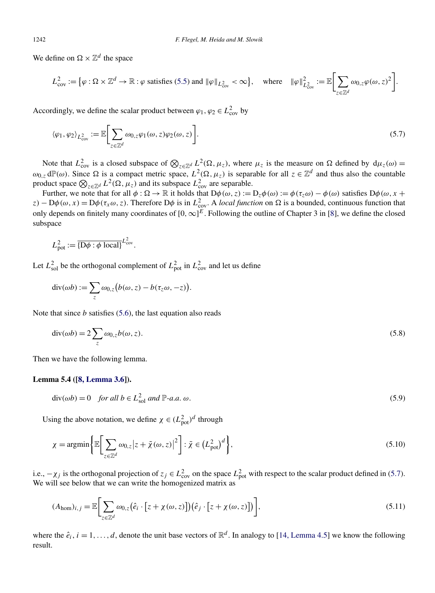<span id="page-16-0"></span>We define on  $\Omega \times \mathbb{Z}^d$  the space

$$
L_{\text{cov}}^2 := \left\{ \varphi : \Omega \times \mathbb{Z}^d \to \mathbb{R} : \varphi \text{ satisfies (5.5) and } \|\varphi\|_{L_{\text{cov}}^2} < \infty \right\}, \quad \text{where} \quad \|\varphi\|_{L_{\text{cov}}^2}^2 := \mathbb{E} \bigg[ \sum_{z \in \mathbb{Z}^d} \omega_{0,z} \varphi(\omega, z)^2 \bigg].
$$

Accordingly, we define the scalar product between  $\varphi_1, \varphi_2 \in L^2_{\text{cov}}$  by

$$
\langle \varphi_1, \varphi_2 \rangle_{L^2_{\text{cov}}} := \mathbb{E} \bigg[ \sum_{z \in \mathbb{Z}^d} \omega_{0, z} \varphi_1(\omega, z) \varphi_2(\omega, z) \bigg]. \tag{5.7}
$$

Note that  $L^2_{\text{cov}}$  is a closed subspace of  $\bigotimes_{z \in \mathbb{Z}^d} L^2(\Omega, \mu_z)$ , where  $\mu_z$  is the measure on  $\Omega$  defined by  $d\mu_z(\omega) =$  $ω_{0,z}$  dP(ω). Since Ω is a compact metric space,  $L^2$ (Ω,  $μ_z$ ) is separable for all  $z ∈ \mathbb{Z}^d$  and thus also the countable product space  $\bigotimes_{z \in \mathbb{Z}^d} L^2(\Omega, \mu_z)$  and its subspace  $L^2_{\text{cov}}$  are separable.

Further, we note that for all  $\phi : \Omega \to \mathbb{R}$  it holds that  $D\phi(\omega, z) := D_z\phi(\omega) := \phi(\tau_z\omega) - \phi(\omega)$  satisfies  $D\phi(\omega, x + \omega)$  $z$ ) – D $\phi(\omega, x)$  = D $\phi(\tau_x \omega, z)$ . Therefore D $\phi$  is in  $L^2_{\text{cov}}$ . A *local function* on  $\Omega$  is a bounded, continuous function that only depends on finitely many coordinates of  $[0, \infty]^E$ . Following the outline of Chapter 3 in [\[8\]](#page-30-0), we define the closed subspace

$$
L_{\text{pot}}^2 := \overline{\{\mathbf{D}\phi : \phi \text{ local}\}}^{L_{\text{cov}}^2}.
$$

Let  $L_{\text{sol}}^2$  be the orthogonal complement of  $L_{\text{pot}}^2$  in  $L_{\text{cov}}^2$  and let us define

$$
\operatorname{div}(\omega b) := \sum_{z} \omega_{0,z} (b(\omega, z) - b(\tau_z \omega, -z)).
$$

Note that since *b* satisfies [\(5.6\)](#page-15-0), the last equation also reads

$$
\operatorname{div}(\omega b) = 2 \sum_{z} \omega_{0,z} b(\omega, z). \tag{5.8}
$$

Then we have the following lemma.

#### **Lemma 5.4 ([\[8, Lemma 3.6\]](#page-30-0)).**

$$
\operatorname{div}(\omega b) = 0 \quad \text{for all } b \in L^2_{\text{sol}} \text{ and } \mathbb{P}\text{-}a.a. \omega. \tag{5.9}
$$

Using the above notation, we define  $\chi \in (L_{pot}^2)^d$  through

$$
\chi = \operatorname{argmin} \left\{ \mathbb{E} \left[ \sum_{z \in \mathbb{Z}^d} \omega_{0,z} |z + \tilde{\chi}(\omega, z)|^2 \right] : \tilde{\chi} \in \left( L_{\text{pot}}^2 \right)^d \right\},\tag{5.10}
$$

i.e.,  $-\chi_j$  is the orthogonal projection of  $z_j \in L^2_{\text{cov}}$  on the space  $L^2_{\text{pot}}$  with respect to the scalar product defined in (5.7). We will see below that we can write the homogenized matrix as

$$
(A_{\text{hom}})_{i,j} = \mathbb{E}\bigg[\sum_{z \in \mathbb{Z}^d} \omega_{0,z} (\hat{e}_i \cdot [z + \chi(\omega, z)])(\hat{e}_j \cdot [z + \chi(\omega, z)])\bigg],\tag{5.11}
$$

where the  $\hat{e}_i$ ,  $i = 1, \ldots, d$ , denote the unit base vectors of  $\mathbb{R}^d$ . In analogy to [\[14, Lemma 4.5\]](#page-30-0) we know the following result.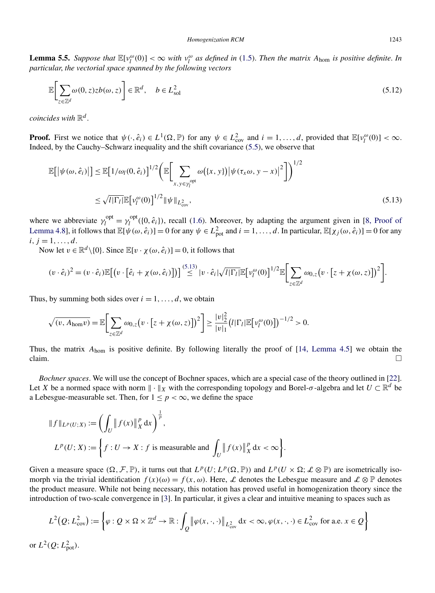<span id="page-17-0"></span>**Lemma 5.5.** Suppose that  $\mathbb{E}[v_l^{\omega}(0)] < \infty$  with  $v_l^{\omega}$  as defined in [\(1.5\)](#page-3-0). Then the matrix  $A_{\text{hom}}$  is positive definite. In *particular*, *the vectorial space spanned by the following vectors*

$$
\mathbb{E}\bigg[\sum_{z\in\mathbb{Z}^d}\omega(0,z)zb(\omega,z)\bigg]\in\mathbb{R}^d,\quad b\in L^2_{\text{sol}}\tag{5.12}
$$

*coincides with* R*<sup>d</sup>* .

**Proof.** First we notice that  $\psi(\cdot, \hat{e}_i) \in L^1(\Omega, \mathbb{P})$  for any  $\psi \in L^2_{\text{cov}}$  and  $i = 1, ..., d$ , provided that  $\mathbb{E}[v_l^{\omega}(0)] < \infty$ . Indeed, by the Cauchy–Schwarz inequality and the shift covariance [\(5.5\)](#page-15-0), we observe that

$$
\mathbb{E}\big[\big|\psi(\omega,\hat{e}_i)\big|\big] \leq \mathbb{E}\big[1/\omega_l(0,\hat{e}_i)\big]^{1/2} \bigg(\mathbb{E}\bigg[\sum_{x,y\in\gamma_l^{\text{opt}}} \omega\big(\{x,y\}\big) \big|\psi(\tau_x\omega,y-x)\big|^2\bigg]\bigg)^{1/2} \leq \sqrt{l|\Gamma_l|}\mathbb{E}\big[\nu_l^{\omega}(0)\big]^{1/2} \|\psi\|_{L^2_{\text{cov}}},
$$
\n(5.13)

where we abbreviate  $\gamma_l^{\text{opt}} = \gamma_l^{\text{opt}}(\{0, \hat{e}_i\})$ , recall [\(1.6\)](#page-3-0). Moreover, by adapting the argument given in [\[8, Proof of](#page-30-0) [Lemma 4.8\]](#page-30-0), it follows that  $\mathbb{E}[\psi(\omega, \hat{e}_i)] = 0$  for any  $\psi \in L^2_{\text{pot}}$  and  $i = 1, ..., d$ . In particular,  $\mathbb{E}[\chi_j(\omega, \hat{e}_i)] = 0$  for any  $i, j = 1, \ldots, d.$ 

Now let  $v \in \mathbb{R}^d \setminus \{0\}$ . Since  $\mathbb{E}[v \cdot \chi(\omega, \hat{e}_i)] = 0$ , it follows that

$$
(v \cdot \hat{e}_i)^2 = (v \cdot \hat{e}_i) \mathbb{E}[(v \cdot [\hat{e}_i + \chi(\omega, \hat{e}_i)])] \stackrel{(5.13)}{\leq} |v \cdot \hat{e}_i| \sqrt{l|\Gamma_l|} \mathbb{E}[v_l^{\omega}(0)]^{1/2} \mathbb{E}\bigg[\sum_{z \in \mathbb{Z}^d} \omega_{0,z}(v \cdot [z + \chi(\omega, z)])^2\bigg].
$$

Thus, by summing both sides over  $i = 1, \ldots, d$ , we obtain

$$
\sqrt{(v, A_{\text{hom}}v)} = \mathbb{E}\bigg[\sum_{z \in \mathbb{Z}^d} \omega_{0,z}(v \cdot [z + \chi(\omega, z)])^2\bigg] \ge \frac{|v|_2^2}{|v|_1} (l|\Gamma_l| \mathbb{E}\big[v_l^{\omega}(0)\big]\big)^{-1/2} > 0.
$$

Thus, the matrix *A*hom is positive definite. By following literally the proof of [\[14, Lemma 4.5\]](#page-30-0) we obtain the claim.  $\Box$ 

*Bochner spaces*. We will use the concept of Bochner spaces, which are a special case of the theory outlined in [\[22\]](#page-30-0). Let *X* be a normed space with norm  $\|\cdot\|_X$  with the corresponding topology and Borel- $\sigma$ -algebra and let  $U \subset \mathbb{R}^d$  be a Lebesgue-measurable set. Then, for  $1 \le p < \infty$ , we define the space

$$
\|f\|_{L^p(U;X)} := \left(\int_U \|f(x)\|_X^p dx\right)^{\frac{1}{p}},
$$
  

$$
L^p(U;X) := \left\{f: U \to X : f \text{ is measurable and } \int_U \|f(x)\|_X^p dx < \infty\right\}.
$$

Given a measure space  $(\Omega, \mathcal{F}, \mathbb{P})$ , it turns out that  $L^p(U; L^p(\Omega, \mathbb{P}))$  and  $L^p(U \times \Omega; \mathcal{L} \otimes \mathbb{P})$  are isometrically isomorph via the trivial identification  $f(x)(\omega) = f(x, \omega)$ . Here, L denotes the Lebesgue measure and L  $\otimes \mathbb{P}$  denotes the product measure. While not being necessary, this notation has proved useful in homogenization theory since the introduction of two-scale convergence in [\[3\]](#page-30-0). In particular, it gives a clear and intuitive meaning to spaces such as

$$
L^2(Q; L^2_{\text{cov}}) := \left\{ \varphi : Q \times \Omega \times \mathbb{Z}^d \to \mathbb{R} : \int_Q \left\| \varphi(x, \cdot, \cdot) \right\|_{L^2_{\text{cov}}} dx < \infty, \varphi(x, \cdot, \cdot) \in L^2_{\text{cov}} \text{ for a.e. } x \in Q \right\}
$$
\nor

\n
$$
L^2(Q; L^2_{\text{pot}}).
$$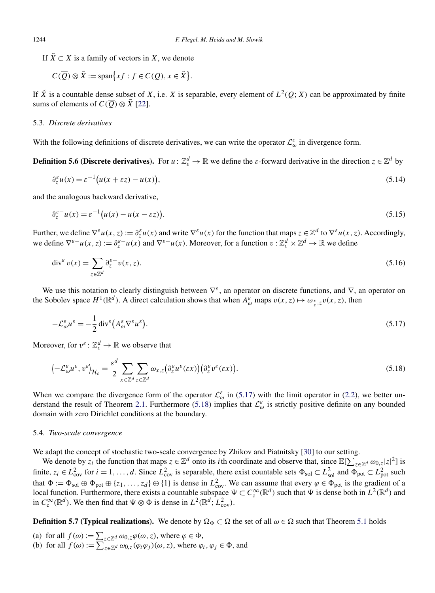<span id="page-18-0"></span>If  $\tilde{X} \subset X$  is a family of vectors in *X*, we denote

$$
C(\overline{Q}) \otimes \tilde{X} := \text{span}\big\{ xf : f \in C(Q), x \in \tilde{X} \big\}.
$$

If  $\tilde{X}$  is a countable dense subset of *X*, i.e. *X* is separable, every element of  $L^2(Q; X)$  can be approximated by finite sums of elements of  $C(\overline{Q}) \otimes \tilde{X}$  [\[22\]](#page-30-0).

# 5.3. *Discrete derivatives*

With the following definitions of discrete derivatives, we can write the operator  $\mathcal{L}_{\omega}^{\varepsilon}$  in divergence form.

**Definition 5.6 (Discrete derivatives).** For  $u: \mathbb{Z}_{\varepsilon}^d \to \mathbb{R}$  we define the  $\varepsilon$ -forward derivative in the direction  $z \in \mathbb{Z}^d$  by

$$
\partial_z^{\varepsilon} u(x) = \varepsilon^{-1} \big( u(x + \varepsilon z) - u(x) \big),\tag{5.14}
$$

and the analogous backward derivative,

$$
\partial_z^{\varepsilon - u}(x) = \varepsilon^{-1} \big( u(x) - u(x - \varepsilon z) \big). \tag{5.15}
$$

Further, we define  $\nabla^{\varepsilon} u(x, z) := \partial_z^{\varepsilon} u(x)$  and write  $\nabla^{\varepsilon} u(x)$  for the function that maps  $z \in \mathbb{Z}^d$  to  $\nabla^{\varepsilon} u(x, z)$ . Accordingly, we define  $\nabla^{\varepsilon} u(x, z) := \partial_z^{\varepsilon} u(x)$  and  $\nabla^{\varepsilon} u(x)$ . Moreover, for a function  $v : \mathbb{Z}_{\varepsilon}^d \times \mathbb{Z}^d \to \mathbb{R}$  we define

$$
\operatorname{div}^{\varepsilon} v(x) = \sum_{z \in \mathbb{Z}^d} \partial_z^{\varepsilon -} v(x, z). \tag{5.16}
$$

We use this notation to clearly distinguish between ∇*ε*, an operator on discrete functions, and ∇, an operator on the Sobolev space  $H^1(\mathbb{R}^d)$ . A direct calculation shows that when  $A^{\varepsilon}_{\omega}$  maps  $v(x, z) \mapsto \omega_{\frac{x}{\varepsilon},z} v(x, z)$ , then

$$
-\mathcal{L}^{\varepsilon}_{\omega}u^{\varepsilon} = -\frac{1}{2}\operatorname{div}^{\varepsilon}\left(A^{\varepsilon}_{\omega}\nabla^{\varepsilon}u^{\varepsilon}\right). \tag{5.17}
$$

Moreover, for  $v^{\varepsilon}$  :  $\mathbb{Z}_{\varepsilon}^{d} \to \mathbb{R}$  we observe that

$$
\langle -\mathcal{L}_{\omega}^{\varepsilon} u^{\varepsilon}, v^{\varepsilon} \rangle_{\mathcal{H}_{\varepsilon}} = \frac{\varepsilon^{d}}{2} \sum_{x \in \mathbb{Z}^{d}} \sum_{z \in \mathbb{Z}^{d}} \omega_{x,z} \big( \partial_{z}^{\varepsilon} u^{\varepsilon}(\varepsilon x) \big) \big( \partial_{z}^{\varepsilon} v^{\varepsilon}(\varepsilon x) \big). \tag{5.18}
$$

When we compare the divergence form of the operator  $\mathcal{L}^{\varepsilon}_{\omega}$  in (5.17) with the limit operator in [\(2.2\)](#page-5-0), we better un-derstand the result of Theorem [2.1.](#page-5-0) Furthermore (5.18) implies that  $\mathcal{L}^{\varepsilon}_{\omega}$  is strictly positive definite on any bounded domain with zero Dirichlet conditions at the boundary.

#### 5.4. *Two-scale convergence*

We adapt the concept of stochastic two-scale convergence by Zhikov and Piatnitsky [\[30\]](#page-31-0) to our setting.

We denote by  $z_i$  the function that maps  $z \in \mathbb{Z}^d$  onto its *i*th coordinate and observe that, since  $\mathbb{E}[\sum_{z \in \mathbb{Z}^d} \omega_{0,z} |z|^2]$  is finite,  $z_i \in L^2_{\text{cov}}$  for  $i = 1, ..., d$ . Since  $L^2_{\text{cov}}$  is separable, there exist countable sets  $\Phi_{\text{sol}} \subset L^2_{\text{sol}}$  and  $\Phi_{\text{pot}} \subset L^2_{\text{pot}}$  such that  $\Phi := \Phi_{sol} \oplus \Phi_{pot} \oplus \{z_1, \ldots, z_d\} \oplus \{1\}$  is dense in  $L^2_{cov}$ . We can assume that every  $\varphi \in \Phi_{pot}$  is the gradient of a local function. Furthermore, there exists a countable subspace  $\Psi \subset C_c^{\infty}(\mathbb{R}^d)$  such that  $\Psi$  is dense both in  $L^2(\mathbb{R}^d)$  and in  $C_c^{\infty}(\mathbb{R}^d)$ . We then find that  $\Psi \otimes \Phi$  is dense in  $L^2(\mathbb{R}^d; L^2_{\text{cov}})$ .

**Definition 5.7 (Typical realizations).** We denote by  $\Omega_{\Phi} \subset \Omega$  the set of all  $\omega \in \Omega$  such that Theorem [5.1](#page-14-0) holds

- (a) for all  $f(\omega) := \sum_{z \in \mathbb{Z}^d} \omega_{0,z} \varphi(\omega, z)$ , where  $\varphi \in \Phi$ ,
- (b) for all  $f(\omega) := \sum_{z \in \mathbb{Z}^d} \omega_{0,z}(\varphi_i \varphi_j)(\omega, z)$ , where  $\varphi_i, \varphi_j \in \Phi$ , and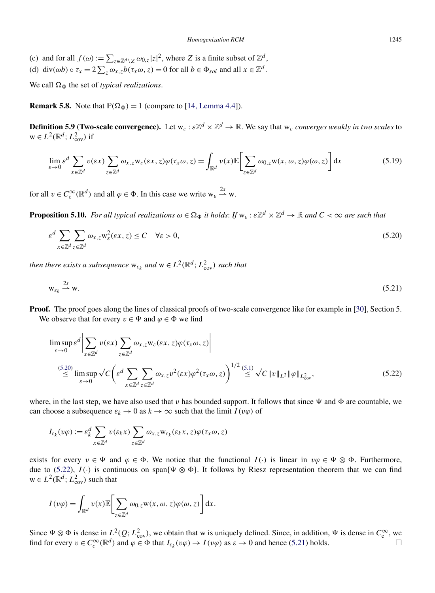- <span id="page-19-0"></span>(c) and for all  $f(\omega) := \sum_{z \in \mathbb{Z}^d \setminus Z} \omega_{0,z} |z|^2$ , where *Z* is a finite subset of  $\mathbb{Z}^d$ ,
- (d) div( $\omega b$ )  $\circ \tau_x = 2 \sum_z \omega_{x,z} b(\tau_x \omega, z) = 0$  for all  $b \in \Phi_{sol}$  and all  $x \in \mathbb{Z}^d$ .

We call  $\Omega_{\Phi}$  the set of *typical realizations*.

**Remark 5.8.** Note that  $\mathbb{P}(\Omega_{\Phi}) = 1$  (compare to [\[14, Lemma 4.4\]](#page-30-0)).

**Definition 5.9 (Two-scale convergence).** Let  $w_{\varepsilon}: \varepsilon \mathbb{Z}^d \times \mathbb{Z}^d \to \mathbb{R}$ . We say that  $w_{\varepsilon}$  *converges weakly in two scales* to  $w \in L^2(\mathbb{R}^d; L^2_{\text{cov}})$  if

$$
\lim_{\varepsilon \to 0} \varepsilon^d \sum_{x \in \mathbb{Z}^d} v(\varepsilon x) \sum_{z \in \mathbb{Z}^d} \omega_{x,z} w_\varepsilon(\varepsilon x, z) \varphi(\tau_x \omega, z) = \int_{\mathbb{R}^d} v(x) \mathbb{E} \Biggl[ \sum_{z \in \mathbb{Z}^d} \omega_{0,z} w(x, \omega, z) \varphi(\omega, z) \Biggr] dx \tag{5.19}
$$

for all  $v \in C_c^{\infty}(\mathbb{R}^d)$  and all  $\varphi \in \Phi$ . In this case we write  $w_{\varepsilon} \stackrel{2s}{\rightharpoonup} w$ .

**Proposition 5.10.** *For all typical realizations*  $\omega \in \Omega_{\Phi}$  *it holds: If*  $w_{\varepsilon} : \varepsilon \mathbb{Z}^d \times \mathbb{Z}^d \to \mathbb{R}$  *and*  $C < \infty$  *are such that* 

$$
\varepsilon^d \sum_{x \in \mathbb{Z}^d} \sum_{z \in \mathbb{Z}^d} \omega_{x,z} w_{\varepsilon}^2(\varepsilon x, z) \le C \quad \forall \varepsilon > 0,
$$
\n(5.20)

*then there exists a subsequence*  $w_{\varepsilon_k}$  *and*  $w \in L^2(\mathbb{R}^d; L^2_{\text{cov}})$  *such that* 

$$
w_{\varepsilon_k} \stackrel{2s}{\longrightarrow} w. \tag{5.21}
$$

**Proof.** The proof goes along the lines of classical proofs of two-scale convergence like for example in [\[30\]](#page-31-0), Section 5. We observe that for every  $v \in \Psi$  and  $\varphi \in \Phi$  we find

$$
\limsup_{\varepsilon \to 0} \varepsilon^{d} \left| \sum_{x \in \mathbb{Z}^{d}} v(\varepsilon x) \sum_{z \in \mathbb{Z}^{d}} \omega_{x,z} w_{\varepsilon}(\varepsilon x, z) \varphi(\tau_{x} \omega, z) \right|
$$
\n
$$
\leq \limsup_{\varepsilon \to 0} \sqrt{C} \left( \varepsilon^{d} \sum_{x \in \mathbb{Z}^{d}} \sum_{z \in \mathbb{Z}^{d}} \omega_{x,z} v^{2}(\varepsilon x) \varphi^{2}(\tau_{x} \omega, z) \right)^{1/2} \leq \sqrt{C} \|v\|_{L^{2}} \|\varphi\|_{L^{2}_{\text{cov}}},
$$
\n(5.22)

where, in the last step, we have also used that  $v$  has bounded support. It follows that since  $\Psi$  and  $\Phi$  are countable, we can choose a subsequence  $\varepsilon_k \to 0$  as  $k \to \infty$  such that the limit  $I(v\varphi)$  of

$$
I_{\varepsilon_k}(v\varphi) := \varepsilon_k^d \sum_{x \in \mathbb{Z}^d} v(\varepsilon_k x) \sum_{z \in \mathbb{Z}^d} \omega_{x,z} w_{\varepsilon_k}(\varepsilon_k x, z) \varphi(\tau_x \omega, z)
$$

exists for every  $v \in \Psi$  and  $\varphi \in \Phi$ . We notice that the functional  $I(\cdot)$  is linear in  $v\varphi \in \Psi \otimes \Phi$ . Furthermore, due to (5.22),  $I(\cdot)$  is continuous on span $\{\Psi \otimes \Phi\}$ . It follows by Riesz representation theorem that we can find  $w \in L^2(\mathbb{R}^d; L^2_{\text{cov}})$  such that

$$
I(v\varphi) = \int_{\mathbb{R}^d} v(x) \mathbb{E} \bigg[ \sum_{z \in \mathbb{Z}^d} \omega_{0,z} \mathbf{w}(x,\omega,z) \varphi(\omega,z) \bigg] dx.
$$

Since  $\Psi \otimes \Phi$  is dense in  $L^2(Q; L^2_{\text{cov}})$ , we obtain that w is uniquely defined. Since, in addition,  $\Psi$  is dense in  $C_c^{\infty}$ , we find for every  $v \in C_c^{\infty}(\mathbb{R}^d)$  and  $\varphi \in \Phi$  that  $I_{\varepsilon_k}(v\varphi) \to I(v\varphi)$  as  $\varepsilon \to 0$  and hence (5.21) holds.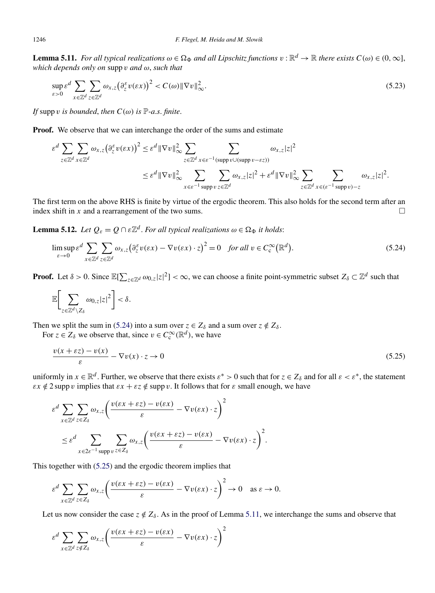<span id="page-20-0"></span>**Lemma 5.11.** *For all typical realizations*  $\omega \in \Omega_{\Phi}$  *and all Lipschitz functions*  $v : \mathbb{R}^d \to \mathbb{R}$  *there exists*  $C(\omega) \in (0, \infty]$ , *which depends only on* supp *v and ω*, *such that*

$$
\sup_{\varepsilon>0} \varepsilon^d \sum_{x \in \mathbb{Z}^d} \sum_{z \in \mathbb{Z}^d} \omega_{x,z} \big(\partial_z^{\varepsilon} v(\varepsilon x)\big)^2 < C(\omega) \|\nabla v\|_{\infty}^2. \tag{5.23}
$$

*If* supp *v is bounded*, *then*  $C(\omega)$  *is*  $\mathbb{P}\text{-}a.s.$  *finite*.

**Proof.** We observe that we can interchange the order of the sums and estimate

$$
\varepsilon^{d} \sum_{z \in \mathbb{Z}^{d}} \sum_{x \in \mathbb{Z}^{d}} \omega_{x,z} (\partial_{z}^{\varepsilon} v(\varepsilon x))^{2} \leq \varepsilon^{d} \|\nabla v\|_{\infty}^{2} \sum_{z \in \mathbb{Z}^{d}} \sum_{x \in \varepsilon^{-1} (\text{supp } v \cup (\text{supp } v - \varepsilon z))} \omega_{x,z} |z|^{2}
$$
  

$$
\leq \varepsilon^{d} \|\nabla v\|_{\infty}^{2} \sum_{x \in \varepsilon^{-1} \text{supp } v} \sum_{z \in \mathbb{Z}^{d}} \omega_{x,z} |z|^{2} + \varepsilon^{d} \|\nabla v\|_{\infty}^{2} \sum_{z \in \mathbb{Z}^{d}} \sum_{x \in (\varepsilon^{-1} \text{supp } v) - z} \omega_{x,z} |z|^{2}.
$$

The first term on the above RHS is finite by virtue of the ergodic theorem. This also holds for the second term after an index shift in *x* and a rearrangement of the two sums.  $\Box$ 

**Lemma 5.12.** *Let*  $Q_{\varepsilon} = Q \cap \varepsilon \mathbb{Z}^d$ . *For all typical realizations*  $\omega \in \Omega_{\Phi}$  *it holds:* 

$$
\limsup_{\varepsilon \to 0} \varepsilon^d \sum_{x \in \mathbb{Z}^d} \sum_{z \in \mathbb{Z}^d} \omega_{x,z} \big( \partial_z^{\varepsilon} v(\varepsilon x) - \nabla v(\varepsilon x) \cdot z \big)^2 = 0 \quad \text{for all } v \in C_c^{\infty}(\mathbb{R}^d). \tag{5.24}
$$

**Proof.** Let  $\delta > 0$ . Since  $\mathbb{E}[\sum_{z \in \mathbb{Z}^d} \omega_{0,z} |z|^2] < \infty$ , we can choose a finite point-symmetric subset  $Z_{\delta} \subset \mathbb{Z}^d$  such that

$$
\mathbb{E}\bigg[\sum_{z\in\mathbb{Z}^d\setminus Z_\delta}\omega_{0,z}|z|^2\bigg]<\delta.
$$

Then we split the sum in (5.24) into a sum over  $z \in Z_\delta$  and a sum over  $z \notin Z_\delta$ .

For  $z \in Z_\delta$  we observe that, since  $v \in C_c^\infty(\mathbb{R}^d)$ , we have

$$
\frac{v(x+\varepsilon z) - v(x)}{\varepsilon} - \nabla v(x) \cdot z \to 0
$$
\n(5.25)

uniformly in  $x \in \mathbb{R}^d$ . Further, we observe that there exists  $\varepsilon^* > 0$  such that for  $z \in Z_\delta$  and for all  $\varepsilon < \varepsilon^*$ , the statement *εx*  $\notin$  2 supp *v* implies that  $\epsilon x + \epsilon z \notin \text{supp } v$ . It follows that for  $\varepsilon$  small enough, we have

$$
\varepsilon^{d} \sum_{x \in \mathbb{Z}^{d}} \sum_{z \in Z_{\delta}} \omega_{x,z} \left( \frac{v(\varepsilon x + \varepsilon z) - v(\varepsilon x)}{\varepsilon} - \nabla v(\varepsilon x) \cdot z \right)^{2}
$$
  

$$
\leq \varepsilon^{d} \sum_{x \in 2\varepsilon^{-1} \text{ supp } v} \sum_{z \in Z_{\delta}} \omega_{x,z} \left( \frac{v(\varepsilon x + \varepsilon z) - v(\varepsilon x)}{\varepsilon} - \nabla v(\varepsilon x) \cdot z \right)^{2}.
$$

This together with (5.25) and the ergodic theorem implies that

$$
\varepsilon^d \sum_{x \in \mathbb{Z}^d} \sum_{z \in Z_\delta} \omega_{x,z} \left( \frac{v(\varepsilon x + \varepsilon z) - v(\varepsilon x)}{\varepsilon} - \nabla v(\varepsilon x) \cdot z \right)^2 \to 0 \quad \text{as } \varepsilon \to 0.
$$

Let us now consider the case  $z \notin Z_\delta$ . As in the proof of Lemma 5.11, we interchange the sums and observe that

$$
\varepsilon^{d} \sum_{x \in \mathbb{Z}^{d}} \sum_{z \notin Z_{\delta}} \omega_{x,z} \left( \frac{v(\varepsilon x + \varepsilon z) - v(\varepsilon x)}{\varepsilon} - \nabla v(\varepsilon x) \cdot z \right)^{2}
$$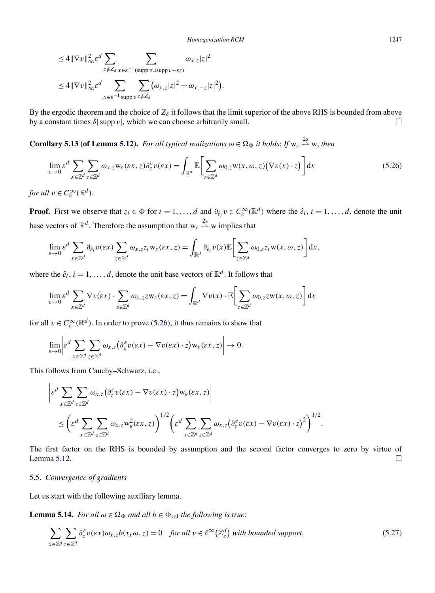<span id="page-21-0"></span>
$$
\leq 4 \|\nabla v\|_{\infty}^2 \varepsilon^d \sum_{z \notin Z_{\delta}} \sum_{x \in \varepsilon^{-1}(\text{supp } v \cup \text{supp } v - \varepsilon z)} \omega_{x,z} |z|^2
$$
  

$$
\leq 4 \|\nabla v\|_{\infty}^2 \varepsilon^d \sum_{x \in \varepsilon^{-1}(\text{supp } v \leq \varepsilon Z_{\delta})} \sum_{z \notin Z_{\delta}} (\omega_{x,z} |z|^2 + \omega_{x,-z} |z|^2).
$$

By the ergodic theorem and the choice of  $Z_\delta$  it follows that the limit superior of the above RHS is bounded from above by a constant times  $\delta$ | supp *v*|, which we can choose arbitrarily small.  $\square$ 

**Corollary 5.13 (of Lemma [5.12\)](#page-20-0).** For all typical realizations  $\omega \in \Omega_{\Phi}$  it holds: If  $w_{\varepsilon} \stackrel{2s}{\rightarrow} w$ , then

$$
\lim_{\varepsilon \to 0} \varepsilon^d \sum_{x \in \mathbb{Z}^d} \sum_{z \in \mathbb{Z}^d} \omega_{x,z} w_{\varepsilon}(\varepsilon x, z) \partial_z^{\varepsilon} v(\varepsilon x) = \int_{\mathbb{R}^d} \mathbb{E} \bigg[ \sum_{z \in \mathbb{Z}^d} \omega_{0,z} w(x, \omega, z) \big( \nabla v(x) \cdot z \big) \bigg] dx \tag{5.26}
$$

*for all*  $v \in C_c^{\infty}(\mathbb{R}^d)$ .

**Proof.** First we observe that  $z_i \in \Phi$  for  $i = 1, ..., d$  and  $\partial_{\hat{e}_i} v \in C_c^{\infty}(\mathbb{R}^d)$  where the  $\hat{e}_i, i = 1, ..., d$ , denote the unit base vectors of  $\mathbb{R}^d$ . Therefore the assumption that  $w_{\varepsilon} \stackrel{2s}{\rightarrow} w$  implies that

$$
\lim_{\varepsilon \to 0} \varepsilon^d \sum_{x \in \mathbb{Z}^d} \partial_{\hat{e}_i} v(\varepsilon x) \sum_{z \in \mathbb{Z}^d} \omega_{x,z} z_i w_{\varepsilon}(\varepsilon x, z) = \int_{\mathbb{R}^d} \partial_{\hat{e}_i} v(x) \mathbb{E} \bigg[ \sum_{z \in \mathbb{Z}^d} \omega_{0,z} z_i w(x, \omega, z) \bigg] dx,
$$

where the  $\hat{e}_i$ ,  $i = 1, ..., d$ , denote the unit base vectors of  $\mathbb{R}^d$ . It follows that

$$
\lim_{\varepsilon \to 0} \varepsilon^d \sum_{x \in \mathbb{Z}^d} \nabla v(\varepsilon x) \cdot \sum_{z \in \mathbb{Z}^d} \omega_{x,z} z w_{\varepsilon}(\varepsilon x, z) = \int_{\mathbb{R}^d} \nabla v(x) \cdot \mathbb{E} \bigg[ \sum_{z \in \mathbb{Z}^d} \omega_{0,z} z w(x, \omega, z) \bigg] dx
$$

for all  $v \in C_c^{\infty}(\mathbb{R}^d)$ . In order to prove (5.26), it thus remains to show that

$$
\lim_{\varepsilon\to 0}\left|\varepsilon^d\sum_{x\in\mathbb{Z}^d}\sum_{z\in\mathbb{Z}^d}\omega_{x,z}\big(\partial_z^{\varepsilon}v(\varepsilon x)-\nabla v(\varepsilon x)\cdot z\big) \mathsf{w}_{\varepsilon}(\varepsilon x,z)\right|\to 0.
$$

This follows from Cauchy–Schwarz, i.e.,

$$
\begin{split} &\bigg|\varepsilon^d \sum_{x \in \mathbb{Z}^d} \sum_{z \in \mathbb{Z}^d} \omega_{x,z} \big(\partial_z^{\varepsilon} v(\varepsilon x) - \nabla v(\varepsilon x) \cdot z\big) \mathbf{w}_{\varepsilon}(\varepsilon x, z)\bigg| \\ &\leq \bigg(\varepsilon^d \sum_{x \in \mathbb{Z}^d} \sum_{z \in \mathbb{Z}^d} \omega_{x,z} \mathbf{w}_{\varepsilon}^2(\varepsilon x, z)\bigg)^{1/2} \bigg(\varepsilon^d \sum_{x \in \mathbb{Z}^d} \sum_{z \in \mathbb{Z}^d} \omega_{x,z} \big(\partial_z^{\varepsilon} v(\varepsilon x) - \nabla v(\varepsilon x) \cdot z\big)^2\bigg)^{1/2}.\end{split}
$$

The first factor on the RHS is bounded by assumption and the second factor converges to zero by virtue of Lemma [5.12.](#page-20-0)  $\Box$  $\Box$ 

# 5.5. *Convergence of gradients*

Let us start with the following auxiliary lemma.

**Lemma 5.14.** *For all*  $\omega \in \Omega_{\Phi}$  *and all*  $b \in \Phi_{\text{sol}}$  *the following is true*:

$$
\sum_{x \in \mathbb{Z}^d} \sum_{z \in \mathbb{Z}^d} \partial_z^{\varepsilon} v(\varepsilon x) \omega_{x,z} b(\tau_x \omega, z) = 0 \quad \text{for all } v \in \ell^{\infty}(\mathbb{Z}_\varepsilon^d) \text{ with bounded support.}
$$
 (5.27)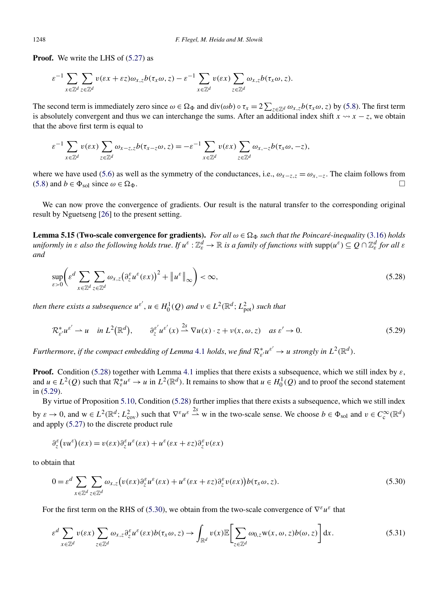<span id="page-22-0"></span>**Proof.** We write the LHS of  $(5.27)$  as

$$
\varepsilon^{-1} \sum_{x \in \mathbb{Z}^d} \sum_{z \in \mathbb{Z}^d} v(\varepsilon x + \varepsilon z) \omega_{x,z} b(\tau_x \omega, z) - \varepsilon^{-1} \sum_{x \in \mathbb{Z}^d} v(\varepsilon x) \sum_{z \in \mathbb{Z}^d} \omega_{x,z} b(\tau_x \omega, z).
$$

The second term is immediately zero since  $\omega \in \Omega_{\Phi}$  and div $(\omega b) \circ \tau_x = 2 \sum_{z \in \mathbb{Z}^d} \omega_{x,z} b(\tau_x \omega, z)$  by [\(5.8\)](#page-16-0). The first term is absolutely convergent and thus we can interchange the sums. After an additional index shift  $x \rightarrow x - z$ , we obtain that the above first term is equal to

$$
\varepsilon^{-1} \sum_{x \in \mathbb{Z}^d} v(\varepsilon x) \sum_{z \in \mathbb{Z}^d} \omega_{x-z, z} b(\tau_{x-z} \omega, z) = -\varepsilon^{-1} \sum_{x \in \mathbb{Z}^d} v(\varepsilon x) \sum_{z \in \mathbb{Z}^d} \omega_{x, -z} b(\tau_x \omega, -z),
$$

where we have used [\(5.6\)](#page-15-0) as well as the symmetry of the conductances, i.e.,  $\omega_{x-z,z} = \omega_{x,-z}$ . The claim follows from [\(5.8\)](#page-16-0) and  $b \in \Phi_{\text{sol}}$  since  $\omega \in \Omega_{\Phi}$ .

We can now prove the convergence of gradients. Our result is the natural transfer to the corresponding original result by Nguetseng [\[26\]](#page-30-0) to the present setting.

**Lemma 5.15 (Two-scale convergence for gradients).** *For all*  $\omega \in \Omega_{\Phi}$  *such that the Poincaré-inequality* [\(3.16\)](#page-11-0) *holds* uniformly in  $\varepsilon$  also the following holds true. If  $u^\varepsilon:\Z^d_\varepsilon\to\R$  is a family of functions with  $\mathrm{supp}(u^\varepsilon)\subseteq Q\cap\Z^d_\varepsilon$  for all  $\varepsilon$ *and*

$$
\sup_{\varepsilon>0} \left( \varepsilon^d \sum_{x \in \mathbb{Z}^d} \sum_{z \in \mathbb{Z}^d} \omega_{x,z} \left( \partial_z^{\varepsilon} u^{\varepsilon} (\varepsilon x) \right)^2 + \left\| u^{\varepsilon} \right\|_{\infty} \right) < \infty,\tag{5.28}
$$

*then there exists a subsequence*  $u^{\varepsilon'}$ ,  $u \in H_0^1(Q)$  *and*  $v \in L^2(\mathbb{R}^d; L^2_{pot})$  *such that* 

$$
\mathcal{R}_{\varepsilon'}^* u^{\varepsilon'} \rightharpoonup u \quad \text{in } L^2(\mathbb{R}^d), \qquad \partial_z^{\varepsilon'} u^{\varepsilon'}(x) \stackrel{2s}{\rightharpoonup} \nabla u(x) \cdot z + \nu(x, \omega, z) \quad \text{as } \varepsilon' \to 0. \tag{5.29}
$$

*Furthermore, if the compact embedding of Lemma [4.1](#page-13-0) <i>holds, we find*  $\mathcal{R}^*_{\varepsilon'}u^{\varepsilon'}\to u$  *strongly in*  $L^2(\mathbb{R}^d)$ *.* 

**Proof.** Condition (5.28) together with Lemma [4.1](#page-13-0) implies that there exists a subsequence, which we still index by *ε*, and  $u \in L^2(Q)$  such that  $\mathcal{R}_{\varepsilon}^* u^{\varepsilon} \to u$  in  $L^2(\mathbb{R}^d)$ . It remains to show that  $u \in H_0^1(Q)$  and to proof the second statement in (5.29).

By virtue of Proposition [5.10,](#page-19-0) Condition (5.28) further implies that there exists a subsequence, which we still index by  $\varepsilon \to 0$ , and  $w \in L^2(\mathbb{R}^d; L^2_{\text{cov}})$  such that  $\nabla^{\varepsilon} u^{\varepsilon} \stackrel{2s}{\rightharpoonup} w$  in the two-scale sense. We choose  $b \in \Phi_{\text{sol}}$  and  $v \in C_c^{\infty}(\mathbb{R}^d)$ and apply [\(5.27\)](#page-21-0) to the discrete product rule

$$
\partial_z^{\varepsilon} (vu^{\varepsilon})(\varepsilon x) = v(\varepsilon x) \partial_z^{\varepsilon} u^{\varepsilon}(\varepsilon x) + u^{\varepsilon} (\varepsilon x + \varepsilon z) \partial_z^{\varepsilon} v(\varepsilon x)
$$

to obtain that

$$
0 = \varepsilon^d \sum_{x \in \mathbb{Z}^d} \sum_{z \in \mathbb{Z}^d} \omega_{x,z} \big( v(\varepsilon x) \partial_z^\varepsilon u^\varepsilon(\varepsilon x) + u^\varepsilon(\varepsilon x + \varepsilon z) \partial_z^\varepsilon v(\varepsilon x) \big) b(\tau_x \omega, z).
$$
\n
$$
(5.30)
$$

For the first term on the RHS of (5.30), we obtain from the two-scale convergence of  $\nabla^{\varepsilon}u^{\varepsilon}$  that

$$
\varepsilon^{d} \sum_{x \in \mathbb{Z}^{d}} v(\varepsilon x) \sum_{z \in \mathbb{Z}^{d}} \omega_{x,z} \partial_{z}^{\varepsilon} u^{\varepsilon}(\varepsilon x) b(\tau_{x} \omega, z) \to \int_{\mathbb{R}^{d}} v(x) \mathbb{E} \Bigg[ \sum_{z \in \mathbb{Z}^{d}} \omega_{0,z} w(x, \omega, z) b(\omega, z) \Bigg] dx.
$$
 (5.31)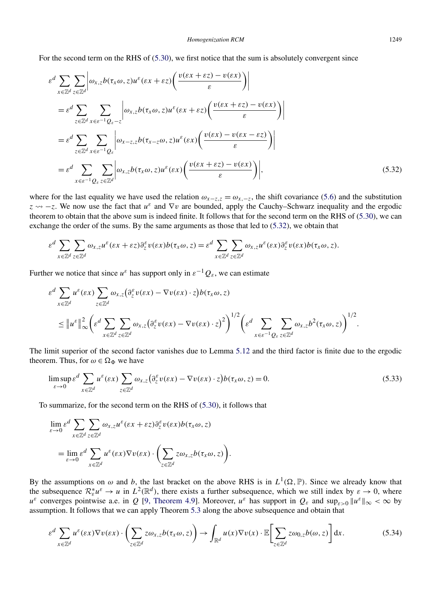For the second term on the RHS of [\(5.30\)](#page-22-0), we first notice that the sum is absolutely convergent since

$$
\varepsilon^{d} \sum_{x \in \mathbb{Z}^{d}} \sum_{z \in \mathbb{Z}^{d}} \left| \omega_{x,z} b(\tau_{x}\omega, z) u^{\varepsilon} (\varepsilon x + \varepsilon z) \left( \frac{v(\varepsilon x + \varepsilon z) - v(\varepsilon x)}{\varepsilon} \right) \right|
$$
  
\n
$$
= \varepsilon^{d} \sum_{z \in \mathbb{Z}^{d}} \sum_{x \in \varepsilon^{-1} Q_{\varepsilon} - z} \left| \omega_{x,z} b(\tau_{x}\omega, z) u^{\varepsilon} (\varepsilon x + \varepsilon z) \left( \frac{v(\varepsilon x + \varepsilon z) - v(\varepsilon x)}{\varepsilon} \right) \right|
$$
  
\n
$$
= \varepsilon^{d} \sum_{z \in \mathbb{Z}^{d}} \sum_{x \in \varepsilon^{-1} Q_{\varepsilon}} \left| \omega_{x-z,z} b(\tau_{x-z}\omega, z) u^{\varepsilon} (\varepsilon x) \left( \frac{v(\varepsilon x) - v(\varepsilon x - \varepsilon z)}{\varepsilon} \right) \right|
$$
  
\n
$$
= \varepsilon^{d} \sum_{x \in \varepsilon^{-1} Q_{\varepsilon}} \sum_{z \in \mathbb{Z}^{d}} \left| \omega_{x,z} b(\tau_{x}\omega, z) u^{\varepsilon} (\varepsilon x) \left( \frac{v(\varepsilon x + \varepsilon z) - v(\varepsilon x)}{\varepsilon} \right) \right|,
$$
  
\n(5.32)

where for the last equality we have used the relation  $\omega_{x-z,z} = \omega_{x,-z}$ , the shift covariance [\(5.6\)](#page-15-0) and the substitution  $z \sim -z$ . We now use the fact that  $u^{\varepsilon}$  and  $\nabla v$  are bounded, apply the Cauchy–Schwarz inequality and the ergodic theorem to obtain that the above sum is indeed finite. It follows that for the second term on the RHS of [\(5.30\)](#page-22-0), we can exchange the order of the sums. By the same arguments as those that led to (5.32), we obtain that

$$
\varepsilon^{d} \sum_{x \in \mathbb{Z}^{d}} \sum_{z \in \mathbb{Z}^{d}} \omega_{x,z} u^{\varepsilon}(\varepsilon x + \varepsilon z) \partial_{z}^{\varepsilon} v(\varepsilon x) b(\tau_{x} \omega, z) = \varepsilon^{d} \sum_{x \in \mathbb{Z}^{d}} \sum_{z \in \mathbb{Z}^{d}} \omega_{x,z} u^{\varepsilon}(\varepsilon x) \partial_{z}^{\varepsilon} v(\varepsilon x) b(\tau_{x} \omega, z).
$$

Further we notice that since  $u^{\varepsilon}$  has support only in  $\varepsilon^{-1}Q_{\varepsilon}$ , we can estimate

$$
\varepsilon^{d} \sum_{x \in \mathbb{Z}^{d}} u^{\varepsilon}(\varepsilon x) \sum_{z \in \mathbb{Z}^{d}} \omega_{x,z} (\partial_{z}^{\varepsilon} v(\varepsilon x) - \nabla v(\varepsilon x) \cdot z) b(\tau_{x}\omega, z) \n\leq \| u^{\varepsilon} \|_{\infty}^{2} \left( \varepsilon^{d} \sum_{x \in \mathbb{Z}^{d}} \sum_{z \in \mathbb{Z}^{d}} \omega_{x,z} (\partial_{z}^{\varepsilon} v(\varepsilon x) - \nabla v(\varepsilon x) \cdot z)^{2} \right)^{1/2} \left( \varepsilon^{d} \sum_{x \in \varepsilon^{-1} Q_{\varepsilon}} \sum_{z \in \mathbb{Z}^{d}} \omega_{x,z} b^{2}(\tau_{x}\omega, z) \right)^{1/2}.
$$

The limit superior of the second factor vanishes due to Lemma [5.12](#page-20-0) and the third factor is finite due to the ergodic theorem. Thus, for  $\omega \in \Omega_{\Phi}$  we have

$$
\limsup_{\varepsilon \to 0} \varepsilon^d \sum_{x \in \mathbb{Z}^d} u^{\varepsilon}(\varepsilon x) \sum_{z \in \mathbb{Z}^d} \omega_{x,z} \left( \partial_z^{\varepsilon} v(\varepsilon x) - \nabla v(\varepsilon x) \cdot z \right) b(\tau_x \omega, z) = 0. \tag{5.33}
$$

To summarize, for the second term on the RHS of [\(5.30\)](#page-22-0), it follows that

$$
\lim_{\varepsilon \to 0} \varepsilon^d \sum_{x \in \mathbb{Z}^d} \sum_{z \in \mathbb{Z}^d} \omega_{x,z} u^{\varepsilon} (\varepsilon x + \varepsilon z) \partial_z^{\varepsilon} v(\varepsilon x) b(\tau_x \omega, z)
$$
  
= 
$$
\lim_{\varepsilon \to 0} \varepsilon^d \sum_{x \in \mathbb{Z}^d} u^{\varepsilon} (\varepsilon x) \nabla v(\varepsilon x) \cdot \left( \sum_{z \in \mathbb{Z}^d} z \omega_{x,z} b(\tau_x \omega, z) \right).
$$

By the assumptions on  $\omega$  and *b*, the last bracket on the above RHS is in  $L^1(\Omega, \mathbb{P})$ . Since we already know that the subsequence  $\mathcal{R}_{\varepsilon}^* u^{\varepsilon} \to u$  in  $L^2(\mathbb{R}^d)$ , there exists a further subsequence, which we still index by  $\varepsilon \to 0$ , where  $u^{\varepsilon}$  converges pointwise a.e. in *Q* [\[9, Theorem 4.9\]](#page-30-0). Moreover,  $u^{\varepsilon}$  has support in  $Q_{\varepsilon}$  and  $\sup_{\varepsilon>0} ||u^{\varepsilon}||_{\infty} < \infty$  by assumption. It follows that we can apply Theorem [5.3](#page-14-0) along the above subsequence and obtain that

$$
\varepsilon^{d} \sum_{x \in \mathbb{Z}^{d}} u^{\varepsilon}(\varepsilon x) \nabla v(\varepsilon x) \cdot \left( \sum_{z \in \mathbb{Z}^{d}} z \omega_{x,z} b(\tau_{x} \omega, z) \right) \to \int_{\mathbb{R}^{d}} u(x) \nabla v(x) \cdot \mathbb{E} \bigg[ \sum_{z \in \mathbb{Z}^{d}} z \omega_{0,z} b(\omega, z) \bigg] dx. \tag{5.34}
$$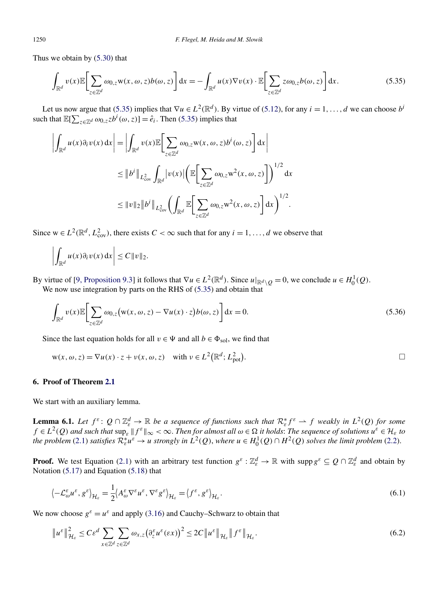<span id="page-24-0"></span>Thus we obtain by [\(5.30\)](#page-22-0) that

$$
\int_{\mathbb{R}^d} v(x) \mathbb{E} \bigg[ \sum_{z \in \mathbb{Z}^d} \omega_{0,z} \mathbf{w}(x,\omega,z) b(\omega,z) \bigg] dx = - \int_{\mathbb{R}^d} u(x) \nabla v(x) \cdot \mathbb{E} \bigg[ \sum_{z \in \mathbb{Z}^d} z \omega_{0,z} b(\omega,z) \bigg] dx.
$$
 (5.35)

Let us now argue that (5.35) implies that  $\nabla u \in L^2(\mathbb{R}^d)$ . By virtue of [\(5.12\)](#page-17-0), for any  $i = 1, \ldots, d$  we can choose  $b^i$ such that  $\mathbb{E}[\sum_{z \in \mathbb{Z}^d} \omega_{0,z} z b^i(\omega, z)] = \hat{e}_i$ . Then (5.35) implies that

$$
\left| \int_{\mathbb{R}^d} u(x) \partial_i v(x) dx \right| = \left| \int_{\mathbb{R}^d} v(x) \mathbb{E} \left[ \sum_{z \in \mathbb{Z}^d} \omega_{0,z} w(x, \omega, z) b^i(\omega, z) \right] dx \right|
$$
  
\n
$$
\leq \|b^i\|_{L^2_{cov}} \int_{\mathbb{R}^d} |v(x)| \left( \mathbb{E} \left[ \sum_{z \in \mathbb{Z}^d} \omega_{0,z} w^2(x, \omega, z) \right] \right)^{1/2} dx
$$
  
\n
$$
\leq \|v\|_2 \|b^i\|_{L^2_{cov}} \left( \int_{\mathbb{R}^d} \mathbb{E} \left[ \sum_{z \in \mathbb{Z}^d} \omega_{0,z} w^2(x, \omega, z) \right] dx \right)^{1/2}.
$$

Since  $w \in L^2(\mathbb{R}^d, L^2_{\text{cov}})$ , there exists  $C < \infty$  such that for any  $i = 1, ..., d$  we observe that

$$
\left|\int_{\mathbb{R}^d} u(x)\partial_i v(x)\,\mathrm{d} x\right|\leq C\|v\|_2.
$$

By virtue of [\[9, Proposition 9.3\]](#page-30-0) it follows that  $\nabla u \in L^2(\mathbb{R}^d)$ . Since  $u|_{\mathbb{R}^d \setminus Q} = 0$ , we conclude  $u \in H_0^1(Q)$ . We now use integration by parts on the RHS of  $(5.35)$  and obtain that

$$
\int_{\mathbb{R}^d} v(x) \mathbb{E} \bigg[ \sum_{z \in \mathbb{Z}^d} \omega_{0,z} \big( w(x, \omega, z) - \nabla u(x) \cdot z \big) b(\omega, z) \bigg] dx = 0.
$$
\n(5.36)

Since the last equation holds for all  $v \in \Psi$  and all  $b \in \Phi_{sol}$ , we find that

$$
w(x, \omega, z) = \nabla u(x) \cdot z + v(x, \omega, z) \quad \text{with } v \in L^{2}(\mathbb{R}^{d}; L^{2}_{pot}).
$$

# **6. Proof of Theorem [2.1](#page-5-0)**

We start with an auxiliary lemma.

**Lemma 6.1.** Let  $f^{\varepsilon}$ :  $Q \cap \mathbb{Z}_{\varepsilon}^{d} \to \mathbb{R}$  be a sequence of functions such that  $\mathcal{R}_{\varepsilon}^{*} f^{\varepsilon} \to f$  weakly in  $L^{2}(Q)$  for some  $f \in L^2(Q)$  *and such that*  $\sup_{\varepsilon} ||f^{\varepsilon}||_{\infty} < \infty$ . *Then for almost all*  $\omega \in \Omega$  *it holds: The sequence of solutions*  $u^{\varepsilon} \in \mathcal{H}_{\varepsilon}$  to *the problem* [\(2.1\)](#page-5-0) *satisfies*  $\mathcal{R}_{\varepsilon}^{*}u^{\varepsilon} \to u$  *strongly in*  $L^2(Q)$ , *where*  $u \in H_0^1(Q) \cap H^2(Q)$  *solves the limit problem* [\(2.2\)](#page-5-0).

**Proof.** We test Equation [\(2.1\)](#page-5-0) with an arbitrary test function  $g^{\varepsilon}$  :  $\mathbb{Z}_{\varepsilon}^{d} \to \mathbb{R}$  with supp  $g^{\varepsilon} \subseteq Q \cap \mathbb{Z}_{\varepsilon}^{d}$  and obtain by Notation [\(5.17\)](#page-18-0) and Equation [\(5.18\)](#page-18-0) that

$$
\left\langle -\mathcal{L}_{\omega}^{\varepsilon}u^{\varepsilon},g^{\varepsilon}\right\rangle _{\mathcal{H}_{\varepsilon}}=\frac{1}{2}\left\langle A_{\omega}^{\varepsilon}\nabla^{\varepsilon}u^{\varepsilon},\nabla^{\varepsilon}g^{\varepsilon}\right\rangle _{\mathcal{H}_{\varepsilon}}=\left\langle f^{\varepsilon},g^{\varepsilon}\right\rangle _{\mathcal{H}_{\varepsilon}}.\tag{6.1}
$$

We now choose  $g^{\varepsilon} = u^{\varepsilon}$  and apply [\(3.16\)](#page-11-0) and Cauchy–Schwarz to obtain that

$$
\|u^{\varepsilon}\|_{\mathcal{H}_{\varepsilon}}^{2} \leq C\varepsilon^{d} \sum_{x \in \mathbb{Z}^{d}} \sum_{z \in \mathbb{Z}^{d}} \omega_{x,z} \big(\partial_{z}^{\varepsilon} u^{\varepsilon}(\varepsilon x)\big)^{2} \leq 2C\|u^{\varepsilon}\|_{\mathcal{H}_{\varepsilon}} \|f^{\varepsilon}\|_{\mathcal{H}_{\varepsilon}}.
$$
\n
$$
(6.2)
$$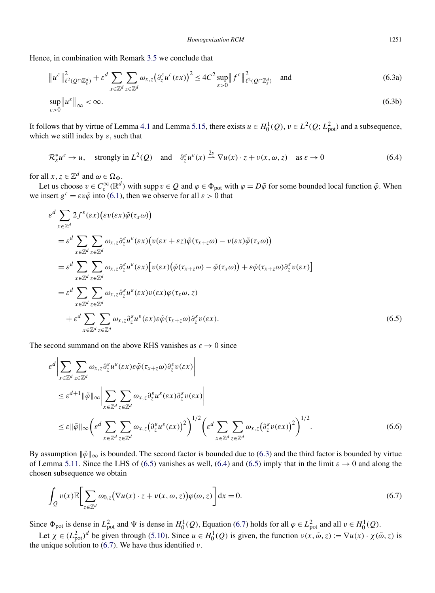<span id="page-25-0"></span>Hence, in combination with Remark [3.5](#page-12-0) we conclude that

$$
\|u^{\varepsilon}\|_{\ell^{2}(Q\cap\mathbb{Z}_{\varepsilon}^{d})}^{2} + \varepsilon^{d} \sum_{x \in \mathbb{Z}^{d}} \sum_{z \in \mathbb{Z}^{d}} \omega_{x,z} (\partial_{z}^{\varepsilon} u^{\varepsilon}(\varepsilon x))^{2} \leq 4C^{2} \sup_{\varepsilon > 0} \|f^{\varepsilon}\|_{\ell^{2}(Q\cap\mathbb{Z}_{\varepsilon}^{d})}^{2} \quad \text{and}
$$
\n
$$
\sup_{\varepsilon > 0} \|u^{\varepsilon}\|_{\infty} < \infty.
$$
\n
$$
(6.3a)
$$
\n
$$
(6.3b)
$$

It follows that by virtue of Lemma [4.1](#page-13-0) and Lemma [5.15,](#page-22-0) there exists  $u \in H_0^1(Q)$ ,  $v \in L^2(Q; L^2_{pot})$  and a subsequence, which we still index by *ε*, such that

$$
\mathcal{R}_{\varepsilon}^* u^{\varepsilon} \to u, \quad \text{strongly in } L^2(Q) \quad \text{and} \quad \partial_z^{\varepsilon} u^{\varepsilon}(x) \xrightarrow{2s} \nabla u(x) \cdot z + v(x, \omega, z) \quad \text{as } \varepsilon \to 0 \tag{6.4}
$$

for all  $x, z \in \mathbb{Z}^d$  and  $\omega \in \Omega_{\Phi}$ .

Let us choose  $v \in C_c^{\infty}(\mathbb{R}^d)$  with supp  $v \in Q$  and  $\varphi \in \Phi_{pot}$  with  $\varphi = D\tilde{\varphi}$  for some bounded local function  $\tilde{\varphi}$ . When we insert  $g^{\varepsilon} = \varepsilon v \tilde{\varphi}$  into [\(6.1\)](#page-24-0), then we observe for all  $\varepsilon > 0$  that

$$
\varepsilon^{d} \sum_{x \in \mathbb{Z}^{d}} 2f^{\varepsilon}(\varepsilon x) (\varepsilon v(\varepsilon x) \tilde{\varphi}(\tau_{x} \omega))
$$
\n
$$
= \varepsilon^{d} \sum_{x \in \mathbb{Z}^{d}} \sum_{z \in \mathbb{Z}^{d}} \omega_{x,z} \partial_{z}^{\varepsilon} u^{\varepsilon}(\varepsilon x) (v(\varepsilon x + \varepsilon z) \tilde{\varphi}(\tau_{x+z} \omega) - v(\varepsilon x) \tilde{\varphi}(\tau_{x} \omega))
$$
\n
$$
= \varepsilon^{d} \sum_{x \in \mathbb{Z}^{d}} \sum_{z \in \mathbb{Z}^{d}} \omega_{x,z} \partial_{z}^{\varepsilon} u^{\varepsilon}(\varepsilon x) [v(\varepsilon x) (\tilde{\varphi}(\tau_{x+z} \omega) - \tilde{\varphi}(\tau_{x} \omega)) + \varepsilon \tilde{\varphi}(\tau_{x+z} \omega) \partial_{z}^{\varepsilon} v(\varepsilon x)]
$$
\n
$$
= \varepsilon^{d} \sum_{x \in \mathbb{Z}^{d}} \sum_{z \in \mathbb{Z}^{d}} \omega_{x,z} \partial_{z}^{\varepsilon} u^{\varepsilon}(\varepsilon x) v(\varepsilon x) \varphi(\tau_{x} \omega, z)
$$
\n
$$
+ \varepsilon^{d} \sum_{x \in \mathbb{Z}^{d}} \sum_{z \in \mathbb{Z}^{d}} \omega_{x,z} \partial_{z}^{\varepsilon} u^{\varepsilon}(\varepsilon x) \varepsilon \tilde{\varphi}(\tau_{x+z} \omega) \partial_{z}^{\varepsilon} v(\varepsilon x).
$$
\n(6.5)

The second summand on the above RHS vanishes as  $\varepsilon \to 0$  since

$$
\varepsilon^{d} \Big| \sum_{x \in \mathbb{Z}^{d}} \sum_{z \in \mathbb{Z}^{d}} \omega_{x,z} \partial_{z}^{\varepsilon} u^{\varepsilon}(\varepsilon x) \varepsilon \tilde{\varphi}(\tau_{x+z} \omega) \partial_{z}^{\varepsilon} v(\varepsilon x) \Big|
$$
  
\n
$$
\leq \varepsilon^{d+1} \|\tilde{\varphi}\|_{\infty} \Big| \sum_{x \in \mathbb{Z}^{d}} \sum_{z \in \mathbb{Z}^{d}} \omega_{x,z} \partial_{z}^{\varepsilon} u^{\varepsilon}(\varepsilon x) \partial_{z}^{\varepsilon} v(\varepsilon x) \Big|
$$
  
\n
$$
\leq \varepsilon \|\tilde{\varphi}\|_{\infty} \Big( \varepsilon^{d} \sum_{x \in \mathbb{Z}^{d}} \sum_{z \in \mathbb{Z}^{d}} \omega_{x,z} (\partial_{z}^{\varepsilon} u^{\varepsilon}(\varepsilon x))^{2} \Big)^{1/2} \Big( \varepsilon^{d} \sum_{x \in \mathbb{Z}^{d}} \sum_{z \in \mathbb{Z}^{d}} \omega_{x,z} (\partial_{z}^{\varepsilon} v(\varepsilon x))^{2} \Big)^{1/2} .
$$
\n(6.6)

By assumption  $\|\tilde{\varphi}\|_{\infty}$  is bounded. The second factor is bounded due to (6.3) and the third factor is bounded by virtue of Lemma [5.11.](#page-20-0) Since the LHS of (6.5) vanishes as well, (6.4) and (6.5) imply that in the limit  $\varepsilon \to 0$  and along the chosen subsequence we obtain

$$
\int_{Q} v(x) \mathbb{E} \bigg[ \sum_{z \in \mathbb{Z}^d} \omega_{0,z} \big( \nabla u(x) \cdot z + v(x, \omega, z) \big) \varphi(\omega, z) \bigg] dx = 0.
$$
\n(6.7)

Since  $\Phi_{pot}$  is dense in  $L_{pot}^2$  and  $\Psi$  is dense in  $H_0^1(Q)$ , Equation (6.7) holds for all  $\varphi \in L_{pot}^2$  and all  $v \in H_0^1(Q)$ .

Let  $\chi \in (L_{pot}^2)^d$  be given through [\(5.10\)](#page-16-0). Since  $u \in H_0^1(Q)$  is given, the function  $v(x, \tilde{\omega}, z) := \nabla u(x) \cdot \chi(\tilde{\omega}, z)$  is the unique solution to (6.7). We have thus identified *ν*.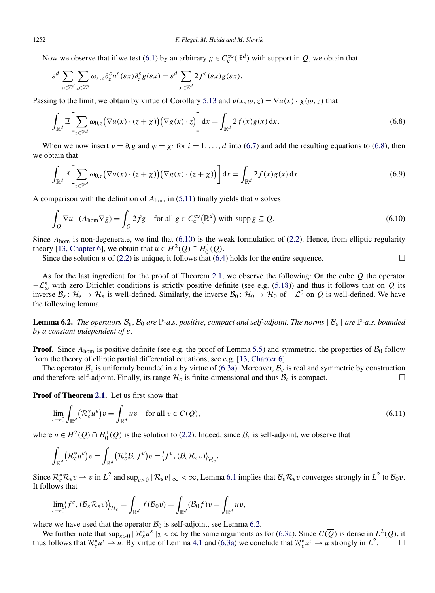<span id="page-26-0"></span>Now we observe that if we test [\(6.1\)](#page-24-0) by an arbitrary  $g \in C_c^{\infty}(\mathbb{R}^d)$  with support in  $Q$ , we obtain that

$$
\varepsilon^d \sum_{x \in \mathbb{Z}^d} \sum_{z \in \mathbb{Z}^d} \omega_{x,z} \partial_z^{\varepsilon} u^{\varepsilon}(\varepsilon x) \partial_z^{\varepsilon} g(\varepsilon x) = \varepsilon^d \sum_{x \in \mathbb{Z}^d} 2f^{\varepsilon}(\varepsilon x) g(\varepsilon x).
$$

Passing to the limit, we obtain by virtue of Corollary [5.13](#page-21-0) and  $v(x, \omega, z) = \nabla u(x) \cdot \chi(\omega, z)$  that

$$
\int_{\mathbb{R}^d} \mathbb{E}\bigg[\sum_{z \in \mathbb{Z}^d} \omega_{0,z} \big(\nabla u(x) \cdot (z + \chi)\big) \big(\nabla g(x) \cdot z\big)\bigg] dx = \int_{\mathbb{R}^d} 2f(x)g(x) dx.
$$
\n(6.8)

When we now insert  $v = \partial_i g$  and  $\varphi = \chi_i$  for  $i = 1, \ldots, d$  into [\(6.7\)](#page-25-0) and add the resulting equations to (6.8), then we obtain that

$$
\int_{\mathbb{R}^d} \mathbb{E} \bigg[ \sum_{z \in \mathbb{Z}^d} \omega_{0,z} \big( \nabla u(x) \cdot (z + \chi) \big) \big( \nabla g(x) \cdot (z + \chi) \big) \bigg] dx = \int_{\mathbb{R}^d} 2 f(x) g(x) dx.
$$
\n(6.9)

A comparison with the definition of *A*hom in [\(5.11\)](#page-16-0) finally yields that *u* solves

$$
\int_{Q} \nabla u \cdot (A_{\text{hom}} \nabla g) = \int_{Q} 2fg \quad \text{for all } g \in C_{\text{c}}^{\infty}(\mathbb{R}^{d}) \text{ with } \text{supp } g \subseteq Q. \tag{6.10}
$$

 $\Box$ 

Since  $A_{\text{hom}}$  is non-degenerate, we find that (6.10) is the weak formulation of [\(2.2\)](#page-5-0). Hence, from elliptic regularity theory [\[13, Chapter 6\]](#page-30-0), we obtain that  $u \in H^2(Q) \cap H_0^1(Q)$ .

Since the solution  $u$  of [\(2.2\)](#page-5-0) is unique, it follows that [\(6.4\)](#page-25-0) holds for the entire sequence.

As for the last ingredient for the proof of Theorem [2.1,](#page-5-0) we observe the following: On the cube *Q* the operator  $-L_{\omega}^{\varepsilon}$  with zero Dirichlet conditions is strictly positive definite (see e.g. [\(5.18\)](#page-18-0)) and thus it follows that on *Q* its inverse  $\mathcal{B}_{\varepsilon}: \mathcal{H}_{\varepsilon} \to \mathcal{H}_{\varepsilon}$  is well-defined. Similarly, the inverse  $\mathcal{B}_0: \mathcal{H}_0 \to \mathcal{H}_0$  of  $-\mathcal{L}^0$  on  $Q$  is well-defined. We have the following lemma.

**Lemma 6.2.** *The operators*  $B_{\varepsilon}$ ,  $B_0$  *are*  $\mathbb{P}\text{-}a.s.$  *positive*, *compact and self-adjoint*. *The norms*  $\|B_{\varepsilon}\|$  *are*  $\mathbb{P}\text{-}a.s.$  *bounded by a constant independent of ε*.

**Proof.** Since  $A_{\text{hom}}$  is positive definite (see e.g. the proof of Lemma [5.5\)](#page-17-0) and symmetric, the properties of  $B_0$  follow from the theory of elliptic partial differential equations, see e.g. [\[13, Chapter 6\]](#page-30-0).

The operator  $\mathcal{B}_{\varepsilon}$  is uniformly bounded in  $\varepsilon$  by virtue of [\(6.3a\)](#page-25-0). Moreover,  $\mathcal{B}_{\varepsilon}$  is real and symmetric by construction d therefore self-adioint. Finally, its range  $\mathcal{H}_{\varepsilon}$  is finite-dimensional and therefore self-adjoint. Finally, its range  $\mathcal{H}_{\varepsilon}$  is finite-dimensional and thus  $\mathcal{B}_{\varepsilon}$  is compact.

**Proof of Theorem [2.1.](#page-5-0)** Let us first show that

$$
\lim_{\varepsilon \to 0} \int_{\mathbb{R}^d} (\mathcal{R}_{\varepsilon}^* u^{\varepsilon}) v = \int_{\mathbb{R}^d} u v \quad \text{for all } v \in C(\overline{Q}), \tag{6.11}
$$

where  $u \in H^2(Q) \cap H_0^1(Q)$  is the solution to [\(2.2\)](#page-5-0). Indeed, since  $\mathcal{B}_{\varepsilon}$  is self-adjoint, we observe that

$$
\int_{\mathbb{R}^d} (\mathcal{R}_{\varepsilon}^* u^{\varepsilon}) v = \int_{\mathbb{R}^d} (\mathcal{R}_{\varepsilon}^* \mathcal{B}_{\varepsilon} f^{\varepsilon}) v = \langle f^{\varepsilon}, (\mathcal{B}_{\varepsilon} \mathcal{R}_{\varepsilon} v) \rangle_{\mathcal{H}_{\varepsilon}}.
$$

Since  $\mathcal{R}_{\varepsilon}^* \mathcal{R}_{\varepsilon} v \to v$  in  $L^2$  and  $\sup_{\varepsilon>0} \|\mathcal{R}_{\varepsilon} v\|_{\infty} < \infty$ , Lemma [6.1](#page-24-0) implies that  $\mathcal{B}_{\varepsilon} \mathcal{R}_{\varepsilon} v$  converges strongly in  $L^2$  to  $\mathcal{B}_0 v$ . It follows that

$$
\lim_{\varepsilon \to 0} \langle f^{\varepsilon}, (\mathcal{B}_{\varepsilon} \mathcal{R}_{\varepsilon} v) \rangle_{\mathcal{H}_{\varepsilon}} = \int_{\mathbb{R}^d} f(\mathcal{B}_0 v) = \int_{\mathbb{R}^d} (\mathcal{B}_0 f) v = \int_{\mathbb{R}^d} u v,
$$

where we have used that the operator  $\mathcal{B}_0$  is self-adjoint, see Lemma 6.2.

We further note that  $\sup_{\varepsilon>0} \|\mathcal{R}_{\varepsilon}^*\mu^{\varepsilon}\|_2 < \infty$  by the same arguments as for [\(6.3a\)](#page-25-0). Since  $C(\overline{Q})$  is dense in  $L^2(Q)$ , it thus follows that  $\mathcal{R}_{\varepsilon}^* u^{\varepsilon} \to u$ . By virtue of Lemma [4.1](#page-13-0) and [\(6.3a\)](#page-25-0) we conclude that  $\mathcal{R}_{\varepsilon}^* u^{\varepsilon} \to u$  strongly in  $L^2$ .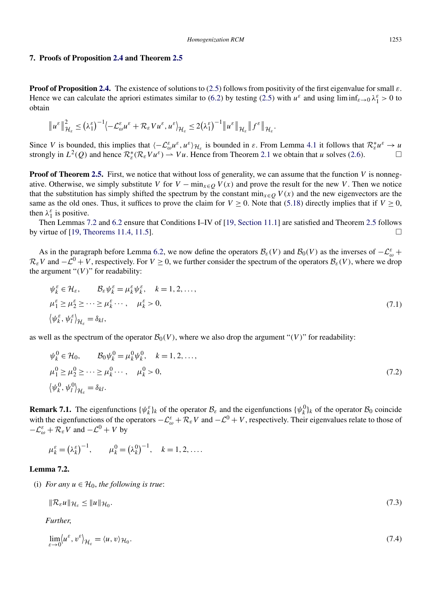#### <span id="page-27-0"></span>**7. Proofs of Proposition [2.4](#page-6-0) and Theorem [2.5](#page-6-0)**

**Proof of Proposition [2.4.](#page-6-0)** The existence of solutions to [\(2.5\)](#page-6-0) follows from positivity of the first eigenvalue for small *ε*. Hence we can calculate the apriori estimates similar to [\(6.2\)](#page-24-0) by testing [\(2.5\)](#page-6-0) with  $u^{\varepsilon}$  and using lim inf $\varepsilon \to 0$   $\lambda_1^{\varepsilon} > 0$  to obtain

$$
\|u^{\varepsilon}\|_{\mathcal{H}_{\varepsilon}}^{2} \leq \left(\lambda_{1}^{\varepsilon}\right)^{-1} \left\langle -\mathcal{L}_{\omega}^{\varepsilon} u^{\varepsilon} + \mathcal{R}_{\varepsilon} V u^{\varepsilon}, u^{\varepsilon}\right\rangle_{\mathcal{H}_{\varepsilon}} \leq 2 \left(\lambda_{1}^{\varepsilon}\right)^{-1} \|u^{\varepsilon}\|_{\mathcal{H}_{\varepsilon}} \|f^{\varepsilon}\|_{\mathcal{H}_{\varepsilon}}.
$$

Since *V* is bounded, this implies that  $\langle -\mathcal{L}_{\omega}^{\varepsilon}u^{\varepsilon}, u^{\varepsilon} \rangle_{\mathcal{H}_{\varepsilon}}$  is bounded in  $\varepsilon$ . From Lemma [4.1](#page-13-0) it follows that  $\mathcal{R}_{\varepsilon}^{*}u^{\varepsilon} \to u$ strongly in  $L^2(Q)$  and hence  $\mathcal{R}_{\varepsilon}^*(\mathcal{R}_{\varepsilon} V u^{\varepsilon}) \to V u$ . Hence from Theorem [2.1](#page-5-0) we obtain that *u* solves [\(2.6\)](#page-6-0).

**Proof of Theorem [2.5.](#page-6-0)** First, we notice that without loss of generality, we can assume that the function *V* is nonnegative. Otherwise, we simply substitute *V* for  $V - \min_{x \in Q} V(x)$  and prove the result for the new *V*. Then we notice that the substitution has simply shifted the spectrum by the constant min<sub> $x ∈ O$ </sub>  $V(x)$  and the new eigenvectors are the same as the old ones. Thus, it suffices to prove the claim for  $V \ge 0$ . Note that [\(5.18\)](#page-18-0) directly implies that if  $V \ge 0$ , then  $\lambda_1^{\varepsilon}$  is positive.

Then Lemmas 7.2 and [6.2](#page-26-0) ensure that Conditions I–IV of [\[19, Section 11.1\]](#page-30-0) are satisfied and Theorem [2.5](#page-6-0) follows by virtue of [\[19, Theorems 11.4, 11.5\]](#page-30-0).  $\Box$ 

As in the paragraph before Lemma [6.2,](#page-26-0) we now define the operators  $\mathcal{B}_{\varepsilon}(V)$  and  $\mathcal{B}_0(V)$  as the inverses of  $-\mathcal{L}_{\omega}^{\varepsilon}$  +  $\mathcal{R}_{\varepsilon}V$  and  $-\mathcal{L}^0 + V$ , respectively. For  $V \ge 0$ , we further consider the spectrum of the operators  $\mathcal{B}_{\varepsilon}(V)$ , where we drop the argument " $(V)$ " for readability:

$$
\psi_k^{\varepsilon} \in \mathcal{H}_{\varepsilon}, \qquad \mathcal{B}_{\varepsilon} \psi_k^{\varepsilon} = \mu_k^{\varepsilon} \psi_k^{\varepsilon}, \quad k = 1, 2, ...,
$$
  
\n
$$
\mu_1^{\varepsilon} \ge \mu_2^{\varepsilon} \ge \dots \ge \mu_k^{\varepsilon} \dots, \qquad \mu_k^{\varepsilon} > 0,
$$
  
\n
$$
\left\langle \psi_k^{\varepsilon}, \psi_l^{\varepsilon} \right\rangle_{\mathcal{H}_{\varepsilon}} = \delta_{kl}, \qquad (7.1)
$$

as well as the spectrum of the operator  $\mathcal{B}_0(V)$ , where we also drop the argument "*(V)*" for readability:

$$
\psi_k^0 \in \mathcal{H}_0, \qquad \mathcal{B}_0 \psi_k^0 = \mu_k^0 \psi_k^0, \quad k = 1, 2, ..., \n\mu_1^0 \ge \mu_2^0 \ge \dots \ge \mu_k^0 \dots, \quad \mu_k^0 > 0, \n\langle \psi_k^0, \psi_l^0 \rangle_{\mathcal{H}_\varepsilon} = \delta_{kl}.
$$
\n(7.2)

**Remark 7.1.** The eigenfunctions  $\{\psi_k^{\varepsilon}\}_k$  of the operator  $\mathcal{B}_{\varepsilon}$  and the eigenfunctions  $\{\psi_k^0\}_k$  of the operator  $\mathcal{B}_0$  coincide with the eigenfunctions of the operators  $-\mathcal{L}^{\varepsilon}_{\omega} + \mathcal{R}_{\varepsilon}V$  and  $-\mathcal{L}^{0} + V$ , respectively. Their eigenvalues relate to those of  $-\mathcal{L}_{\omega}^{\varepsilon} + \mathcal{R}_{\varepsilon}V$  and  $-\mathcal{L}^{0} + V$  by

$$
\mu_k^{\varepsilon} = (\lambda_k^{\varepsilon})^{-1}, \qquad \mu_k^0 = (\lambda_k^0)^{-1}, \quad k = 1, 2, ....
$$

#### **Lemma 7.2.**

(i) *For any*  $u \in H_0$ *, the following is true*:

$$
\|\mathcal{R}_{\varepsilon}u\|_{\mathcal{H}_{\varepsilon}} \le \|u\|_{\mathcal{H}_{0}}.\tag{7.3}
$$

*Further*,

$$
\lim_{\varepsilon \to 0} \langle u^{\varepsilon}, v^{\varepsilon} \rangle_{\mathcal{H}_{\varepsilon}} = \langle u, v \rangle_{\mathcal{H}_{0}}.
$$
\n(7.4)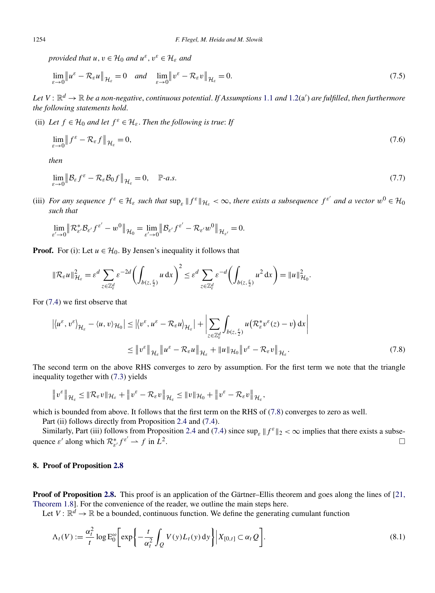*provided that*  $u, v \in H_0$  *and*  $u^{\varepsilon}, v^{\varepsilon} \in H_{\varepsilon}$  *and* 

$$
\lim_{\varepsilon \to 0} \|u^{\varepsilon} - \mathcal{R}_{\varepsilon}u\|_{\mathcal{H}_{\varepsilon}} = 0 \quad \text{and} \quad \lim_{\varepsilon \to 0} \|v^{\varepsilon} - \mathcal{R}_{\varepsilon}v\|_{\mathcal{H}_{\varepsilon}} = 0. \tag{7.5}
$$

Let  $V: \mathbb{R}^d \to \mathbb{R}$  be a non-negative, continuous potential. If Assumptions  $1.1$  and  $1.2(a')$  $1.2(a')$  are fulfilled, then furthermore *the following statements hold*.

(ii) Let  $f \in H_0$  and let  $f^{\varepsilon} \in H_{\varepsilon}$ . Then the following is true: If

$$
\lim_{\varepsilon \to 0} \left\| f^{\varepsilon} - \mathcal{R}_{\varepsilon} f \right\|_{\mathcal{H}_{\varepsilon}} = 0, \tag{7.6}
$$

*then*

$$
\lim_{\varepsilon \to 0} \|\mathcal{B}_{\varepsilon} f^{\varepsilon} - \mathcal{R}_{\varepsilon} \mathcal{B}_0 f\|_{\mathcal{H}_{\varepsilon}} = 0, \quad \mathbb{P}\text{-}a.s. \tag{7.7}
$$

(iii) *For any sequence*  $f^{\varepsilon} \in \mathcal{H}_{\varepsilon}$  *such that*  $\sup_{\varepsilon} ||f^{\varepsilon}||_{\mathcal{H}_{\varepsilon}} < \infty$ , *there exists a subsequence*  $f^{\varepsilon'}$  *and a vector*  $w^0 \in \mathcal{H}_0$ *such that*

$$
\lim_{\varepsilon'\to 0}\left\|\mathcal R^\ast_{\varepsilon'}\mathcal B_{\varepsilon'}f^{\varepsilon'}-w^0\right\|_{\mathcal H_0}=\lim_{\varepsilon'\to 0}\left\|\mathcal B_{\varepsilon'}f^{\varepsilon'}-\mathcal R_{\varepsilon'}w^0\right\|_{\mathcal H_{\varepsilon'}}=0.
$$

**Proof.** For (i): Let  $u \in \mathcal{H}_0$ . By Jensen's inequality it follows that

$$
\|\mathcal{R}_{\varepsilon}u\|_{\mathcal{H}_{\varepsilon}}^2 = \varepsilon^d \sum_{z \in \mathbb{Z}_{\varepsilon}^d} \varepsilon^{-2d} \left( \int_{b(z,\frac{\varepsilon}{2})} u \, dx \right)^2 \leq \varepsilon^d \sum_{z \in \mathbb{Z}_{\varepsilon}^d} \varepsilon^{-d} \left( \int_{b(z,\frac{\varepsilon}{2})} u^2 \, dx \right) = \|u\|_{\mathcal{H}_0}^2.
$$

For [\(7.4\)](#page-27-0) we first observe that

$$
\left| \langle u^{\varepsilon}, v^{\varepsilon} \rangle_{\mathcal{H}_{\varepsilon}} - \langle u, v \rangle_{\mathcal{H}_{0}} \right| \leq \left| \langle v^{\varepsilon}, u^{\varepsilon} - \mathcal{R}_{\varepsilon} u \rangle_{\mathcal{H}_{\varepsilon}} \right| + \left| \sum_{z \in \mathbb{Z}_{\varepsilon}^{d}} \int_{b(z, \frac{\varepsilon}{2})} u \left( \mathcal{R}_{\varepsilon}^{*} v^{\varepsilon}(z) - v \right) dx \right|
$$
  
 
$$
\leq \left\| v^{\varepsilon} \right\|_{\mathcal{H}_{\varepsilon}} \left\| u^{\varepsilon} - \mathcal{R}_{\varepsilon} u \right\|_{\mathcal{H}_{\varepsilon}} + \left\| u \right\|_{\mathcal{H}_{0}} \left\| v^{\varepsilon} - \mathcal{R}_{\varepsilon} v \right\|_{\mathcal{H}_{\varepsilon}}.
$$
 (7.8)

The second term on the above RHS converges to zero by assumption. For the first term we note that the triangle inequality together with [\(7.3\)](#page-27-0) yields

$$
\|v^{\varepsilon}\|_{\mathcal{H}_{\varepsilon}} \leq \|\mathcal{R}_{\varepsilon}v\|_{\mathcal{H}_{\varepsilon}} + \|v^{\varepsilon}-\mathcal{R}_{\varepsilon}v\|_{\mathcal{H}_{\varepsilon}} \leq \|v\|_{\mathcal{H}_{0}} + \|v^{\varepsilon}-\mathcal{R}_{\varepsilon}v\|_{\mathcal{H}_{\varepsilon}},
$$

which is bounded from above. It follows that the first term on the RHS of (7.8) converges to zero as well.

Part (ii) follows directly from Proposition [2.4](#page-6-0) and [\(7.4\)](#page-27-0).

Similarly, Part (iii) follows from Proposition [2.4](#page-6-0) and [\(7.4\)](#page-27-0) since  $\sup_{\varepsilon} ||f^{\varepsilon}||_2 < \infty$  implies that there exists a subsequence  $\varepsilon'$  along which  $\mathcal{R}^*_{\varepsilon'} f^{\varepsilon'} \to f$  in  $\tilde{L}^2$ .

# **8. Proof of Proposition [2.8](#page-9-0)**

**Proof of Proposition [2.8.](#page-9-0)** This proof is an application of the Gärtner–Ellis theorem and goes along the lines of [\[21,](#page-30-0) [Theorem 1.8\]](#page-30-0). For the convenience of the reader, we outline the main steps here.

Let  $V: \mathbb{R}^d \to \mathbb{R}$  be a bounded, continuous function. We define the generating cumulant function

$$
\Lambda_t(V) := \frac{\alpha_t^2}{t} \log \mathbb{E}_0^{\omega} \bigg[ \exp \bigg\{ -\frac{t}{\alpha_t^2} \int_Q V(y) L_t(y) \, dy \bigg\} \bigg| X_{[0,t]} \subset \alpha_t Q \bigg]. \tag{8.1}
$$

<span id="page-28-0"></span>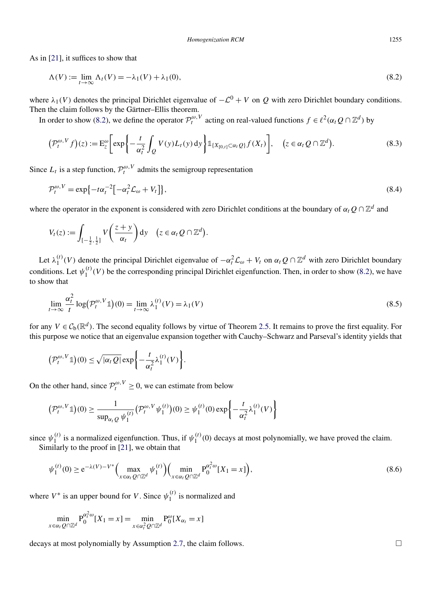As in [\[21\]](#page-30-0), it suffices to show that

$$
\Lambda(V) := \lim_{t \to \infty} \Lambda_t(V) = -\lambda_1(V) + \lambda_1(0),\tag{8.2}
$$

where  $\lambda_1(V)$  denotes the principal Dirichlet eigenvalue of  $-\mathcal{L}^0 + V$  on *Q* with zero Dirichlet boundary conditions. Then the claim follows by the Gärtner–Ellis theorem.

In order to show (8.2), we define the operator  $\mathcal{P}_t^{\omega,V}$  acting on real-valued functions  $f \in \ell^2(\alpha_t Q \cap \mathbb{Z}^d)$  by

$$
\left(\mathcal{P}_t^{\omega,V}f\right)(z) := \mathcal{E}_z^{\omega} \bigg[ \exp\bigg\{-\frac{t}{\alpha_t^2} \int_Q V(y) L_t(y) \, dy\bigg\} \mathbb{1}_{\{X_{[0,t]} \subset \alpha_t Q\}} f(X_t) \bigg], \quad \big(z \in \alpha_t Q \cap \mathbb{Z}^d\big). \tag{8.3}
$$

Since  $L_t$  is a step function,  $\mathcal{P}_t^{\omega, V}$  admits the semigroup representation

$$
\mathcal{P}_t^{\omega,V} = \exp\{-t\alpha_t^{-2}\left[-\alpha_t^2 \mathcal{L}_\omega + V_t\right]\},\tag{8.4}
$$

where the operator in the exponent is considered with zero Dirichlet conditions at the boundary of  $\alpha_t Q \cap \mathbb{Z}^d$  and

$$
V_t(z) := \int_{[-\frac{1}{2},\frac{1}{2}]} V\left(\frac{z+y}{\alpha_t}\right) dy \quad (z \in \alpha_t Q \cap \mathbb{Z}^d).
$$

Let  $\lambda_1^{(t)}(V)$  denote the principal Dirichlet eigenvalue of  $-\alpha_t^2 \mathcal{L}_{\omega} + V_t$  on  $\alpha_t Q \cap \mathbb{Z}^d$  with zero Dirichlet boundary conditions. Let  $\psi_1^{(t)}(V)$  be the corresponding principal Dirichlet eigenfunction. Then, in order to show (8.2), we have to show that

$$
\lim_{t \to \infty} \frac{\alpha_t^2}{t} \log \left( \mathcal{P}_t^{\omega, V} \mathbb{1} \right) (0) = \lim_{t \to \infty} \lambda_1^{(t)}(V) = \lambda_1(V) \tag{8.5}
$$

for any  $V \in C_b(\mathbb{R}^d)$ . The second equality follows by virtue of Theorem [2.5.](#page-6-0) It remains to prove the first equality. For this purpose we notice that an eigenvalue expansion together with Cauchy–Schwarz and Parseval's identity yields that

$$
\left(\mathcal{P}_t^{\omega,V}\mathbb{1}\right)(0) \leq \sqrt{|\alpha_t Q|} \exp\bigg\{-\frac{t}{\alpha_t^2} \lambda_1^{(t)}(V)\bigg\}.
$$

On the other hand, since  $\mathcal{P}_t^{\omega,V} \geq 0$ , we can estimate from below

$$
\left(\mathcal{P}_t^{\omega,V}\mathbb{1}\right)(0) \ge \frac{1}{\sup_{\alpha_t Q} \psi_1^{(t)}} \left(\mathcal{P}_t^{\omega,V}\psi_1^{(t)}\right)(0) \ge \psi_1^{(t)}(0) \exp\left\{-\frac{t}{\alpha_t^2} \lambda_1^{(t)}(V)\right\}
$$

since  $\psi_1^{(t)}$  is a normalized eigenfunction. Thus, if  $\psi_1^{(t)}(0)$  decays at most polynomially, we have proved the claim. Similarly to the proof in [\[21\]](#page-30-0), we obtain that

$$
\psi_1^{(t)}(0) \ge e^{-\lambda(V) - V^*} \Big( \max_{x \in \alpha_t Q \cap \mathbb{Z}^d} \psi_1^{(t)} \Big) \Big( \min_{x \in \alpha_t Q \cap \mathbb{Z}^d} P_0^{\alpha_t^2 \omega} [X_1 = x] \Big), \tag{8.6}
$$

where  $V^*$  is an upper bound for *V*. Since  $\psi_1^{(t)}$  is normalized and

$$
\min_{x \in \alpha_t Q \cap \mathbb{Z}^d} P_0^{\alpha_t^2 \omega}[X_1 = x] = \min_{x \in \alpha_t^2 Q \cap \mathbb{Z}^d} P_0^{\omega}[X_{\alpha_t} = x]
$$

decays at most polynomially by Assumption [2.7,](#page-9-0) the claim follows.  $\Box$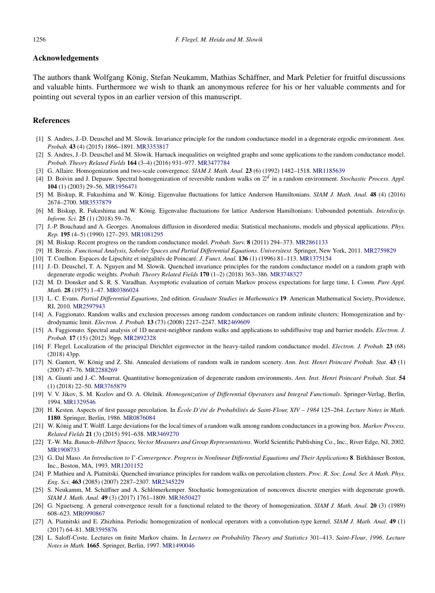#### <span id="page-30-0"></span>**Acknowledgements**

The authors thank Wolfgang König, Stefan Neukamm, Mathias Schäffner, and Mark Peletier for fruitful discussions and valuable hints. Furthermore we wish to thank an anonymous referee for his or her valuable comments and for pointing out several typos in an earlier version of this manuscript.

# **References**

- [1] S. Andres, J.-D. Deuschel and M. Slowik. Invariance principle for the random conductance model in a degenerate ergodic environment. *Ann. Probab.* **43** (4) (2015) 1866–1891. [MR3353817](http://www.ams.org/mathscinet-getitem?mr=3353817)
- [2] S. Andres, J.-D. Deuschel and M. Slowik. Harnack inequalities on weighted graphs and some applications to the random conductance model. *Probab. Theory Related Fields* **164** (3–4) (2016) 931–977. [MR3477784](http://www.ams.org/mathscinet-getitem?mr=3477784)
- [3] G. Allaire. Homogenization and two-scale convergence. *SIAM J. Math. Anal.* **23** (6) (1992) 1482–1518. [MR1185639](http://www.ams.org/mathscinet-getitem?mr=1185639)
- [4] D. Boivin and J. Depauw. Spectral homogenization of reversible random walks on Z*<sup>d</sup>* in a random environment. *Stochastic Process. Appl.* **104** (1) (2003) 29–56. [MR1956471](http://www.ams.org/mathscinet-getitem?mr=1956471)
- [5] M. Biskup, R. Fukushima and W. König. Eigenvalue fluctuations for lattice Anderson Hamiltonians. *SIAM J. Math. Anal.* **48** (4) (2016) 2674–2700. [MR3537879](http://www.ams.org/mathscinet-getitem?mr=3537879)
- [6] M. Biskup, R. Fukushima and W. König. Eigenvalue fluctuations for lattice Anderson Hamiltonians: Unbounded potentials. *Interdiscip. Inform. Sci.* **25** (1) (2018) 59–76.
- [7] J.-P. Bouchaud and A. Georges. Anomalous diffusion in disordered media: Statistical mechanisms, models and physical applications. *Phys. Rep.* **195** (4–5) (1990) 127–293. [MR1081295](http://www.ams.org/mathscinet-getitem?mr=1081295)
- [8] M. Biskup. Recent progress on the random conductance model. *Probab. Surv.* **8** (2011) 294–373. [MR2861133](http://www.ams.org/mathscinet-getitem?mr=2861133)
- [9] H. Brezis. *Functional Analysis, Sobolev Spaces and Partial Differential Equations*. *Universitext.* Springer, New York, 2011. [MR2759829](http://www.ams.org/mathscinet-getitem?mr=2759829)
- [10] T. Coulhon. Espaces de Lipschitz et inégalités de Poincaré. *J. Funct. Anal.* **136** (1) (1996) 81–113. [MR1375154](http://www.ams.org/mathscinet-getitem?mr=1375154)
- [11] J.-D. Deuschel, T. A. Nguyen and M. Slowik. Quenched invariance principles for the random conductance model on a random graph with degenerate ergodic weights. *Probab. Theory Related Fields* **170** (1–2) (2018) 363–386. [MR3748327](http://www.ams.org/mathscinet-getitem?mr=3748327)
- [12] M. D. Donsker and S. R. S. Varadhan. Asymptotic evaluation of certain Markov process expectations for large time, I. *Comm. Pure Appl. Math.* **28** (1975) 1–47. [MR0386024](http://www.ams.org/mathscinet-getitem?mr=0386024)
- [13] L. C. Evans. *Partial Differential Equations*, 2nd edition. *Graduate Studies in Mathematics* **19**. American Mathematical Society, Providence, RI, 2010. [MR2597943](http://www.ams.org/mathscinet-getitem?mr=2597943)
- [14] A. Faggionato. Random walks and exclusion processes among random conductances on random infinite clusters: Homogenization and hydrodynamic limit. *Electron. J. Probab.* **13** (73) (2008) 2217–2247. [MR2469609](http://www.ams.org/mathscinet-getitem?mr=2469609)
- [15] A. Faggionato. Spectral analysis of 1D nearest-neighbor random walks and applications to subdiffusive trap and barrier models. *Electron. J. Probab.* **17** (15) (2012) 36pp. [MR2892328](http://www.ams.org/mathscinet-getitem?mr=2892328)
- [16] F. Flegel. Localization of the principal Dirichlet eigenvector in the heavy-tailed random conductance model. *Electron. J. Probab.* **23** (68) (2018) 43pp.
- [17] N. Gantert, W. König and Z. Shi. Annealed deviations of random walk in random scenery. *Ann. Inst. Henri Poincaré Probab. Stat.* **43** (1) (2007) 47–76. [MR2288269](http://www.ams.org/mathscinet-getitem?mr=2288269)
- [18] A. Giunti and J.-C. Mourrat. Quantitative homogenization of degenerate random environments. *Ann. Inst. Henri Poincaré Probab. Stat.* **54** (1) (2018) 22–50. [MR3765879](http://www.ams.org/mathscinet-getitem?mr=3765879)
- [19] V. V. Jikov, S. M. Kozlov and O. A. Ole˘ınik. *Homogenization of Differential Operators and Integral Functionals*. Springer-Verlag, Berlin, 1994. [MR1329546](http://www.ams.org/mathscinet-getitem?mr=1329546)
- [20] H. Kesten. Aspects of first passage percolation. In *École D'été de Probabilités de Saint-Flour, XIV 1984* 125–264. *Lecture Notes in Math.* **1180**. Springer, Berlin, 1986. [MR0876084](http://www.ams.org/mathscinet-getitem?mr=0876084)
- [21] W. König and T. Wolff. Large deviations for the local times of a random walk among random conductances in a growing box. *Markov Process. Related Fields* **21** (3) (2015) 591–638. [MR3469270](http://www.ams.org/mathscinet-getitem?mr=3469270)
- [22] T.-W. Ma. *Banach–Hilbert Spaces, Vector Measures and Group Representations*. World Scientific Publishing Co., Inc., River Edge, NJ, 2002. [MR1908733](http://www.ams.org/mathscinet-getitem?mr=1908733)
- [23] G. Dal Maso. *An Introduction to -Convergence*. *Progress in Nonlinear Differential Equations and Their Applications* **8**. Birkhäuser Boston, Inc., Boston, MA, 1993. [MR1201152](http://www.ams.org/mathscinet-getitem?mr=1201152)
- [24] P. Mathieu and A. Piatnitski. Quenched invariance principles for random walks on percolation clusters. *Proc. R. Soc. Lond. Ser. A Math. Phys. Eng. Sci.* **463** (2085) (2007) 2287–2307. [MR2345229](http://www.ams.org/mathscinet-getitem?mr=2345229)
- [25] S. Neukamm, M. Schäffner and A. Schlömerkemper. Stochastic homogenization of nonconvex discrete energies with degenerate growth. *SIAM J. Math. Anal.* **49** (3) (2017) 1761–1809. [MR3650427](http://www.ams.org/mathscinet-getitem?mr=3650427)
- [26] G. Nguetseng. A general convergence result for a functional related to the theory of homogenization. *SIAM J. Math. Anal.* **20** (3) (1989) 608–623. [MR0990867](http://www.ams.org/mathscinet-getitem?mr=0990867)
- [27] A. Piatnitski and E. Zhizhina. Periodic homogenization of nonlocal operators with a convolution-type kernel. *SIAM J. Math. Anal.* **49** (1) (2017) 64–81. [MR3595876](http://www.ams.org/mathscinet-getitem?mr=3595876)
- [28] L. Saloff-Coste. Lectures on finite Markov chains. In *Lectures on Probability Theory and Statistics* 301–413. *Saint-Flour*, *1996*. *Lecture Notes in Math.* **1665**. Springer, Berlin, 1997. [MR1490046](http://www.ams.org/mathscinet-getitem?mr=1490046)